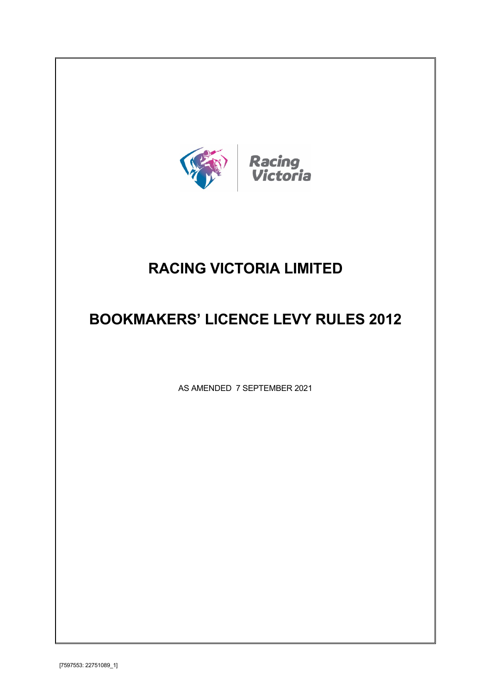

# **RACING VICTORIA LIMITED**

# **BOOKMAKERS' LICENCE LEVY RULES 2012**

AS AMENDED 7 SEPTEMBER 2021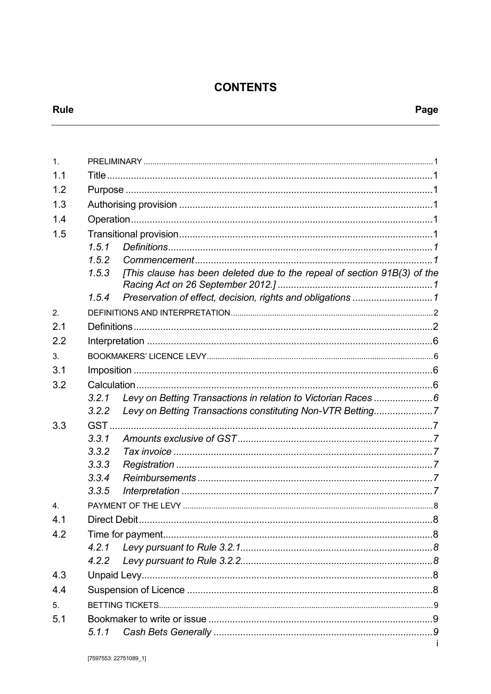## **CONTENTS**

| 1.               |       |                                                                          |  |  |  |  |
|------------------|-------|--------------------------------------------------------------------------|--|--|--|--|
| 1.1              |       |                                                                          |  |  |  |  |
| 1.2              |       |                                                                          |  |  |  |  |
| 1.3              |       |                                                                          |  |  |  |  |
| 1.4              |       |                                                                          |  |  |  |  |
| 1.5              |       |                                                                          |  |  |  |  |
|                  | 1.5.1 |                                                                          |  |  |  |  |
|                  | 1.5.2 |                                                                          |  |  |  |  |
|                  | 1.5.3 | [This clause has been deleted due to the repeal of section 91B(3) of the |  |  |  |  |
|                  | 1.5.4 |                                                                          |  |  |  |  |
| 2.               |       |                                                                          |  |  |  |  |
| 2.1              |       |                                                                          |  |  |  |  |
| 2.2              |       |                                                                          |  |  |  |  |
| 3.               |       |                                                                          |  |  |  |  |
| 3.1              |       |                                                                          |  |  |  |  |
| 3.2              |       |                                                                          |  |  |  |  |
|                  | 3.2.1 | Levy on Betting Transactions in relation to Victorian Races 6            |  |  |  |  |
|                  | 3.2.2 | Levy on Betting Transactions constituting Non-VTR Betting7               |  |  |  |  |
| 3.3              |       |                                                                          |  |  |  |  |
|                  | 3.3.1 |                                                                          |  |  |  |  |
|                  | 3.3.2 |                                                                          |  |  |  |  |
|                  | 3.3.3 |                                                                          |  |  |  |  |
|                  | 3.3.4 |                                                                          |  |  |  |  |
|                  | 3.3.5 |                                                                          |  |  |  |  |
| $\overline{4}$ . |       |                                                                          |  |  |  |  |
| 4.1              |       |                                                                          |  |  |  |  |
| 4.2              |       |                                                                          |  |  |  |  |
|                  | 4.2.1 |                                                                          |  |  |  |  |
|                  | 4.2.2 |                                                                          |  |  |  |  |
| 4.3              |       |                                                                          |  |  |  |  |
| 4.4              |       |                                                                          |  |  |  |  |
| 5.               |       |                                                                          |  |  |  |  |
| 5.1              |       |                                                                          |  |  |  |  |
|                  | 5.1.1 |                                                                          |  |  |  |  |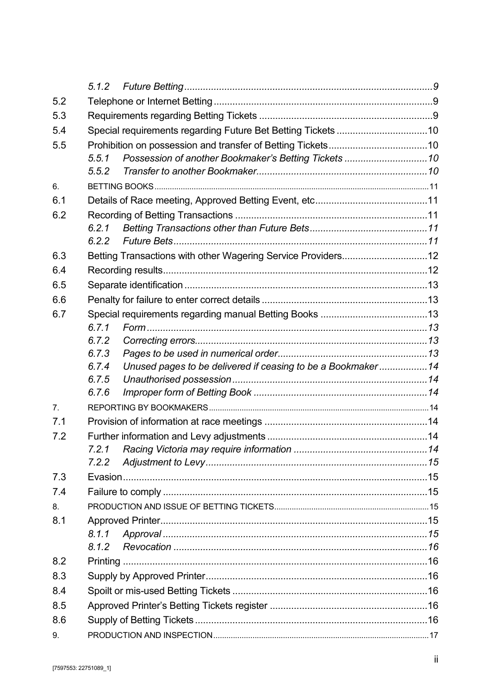| 5.2            |                |                                                              |  |  |  |
|----------------|----------------|--------------------------------------------------------------|--|--|--|
| 5.3            |                |                                                              |  |  |  |
| 5.4            |                | Special requirements regarding Future Bet Betting Tickets 10 |  |  |  |
| 5.5            |                |                                                              |  |  |  |
|                | 5.5.1          |                                                              |  |  |  |
|                | 5.5.2          |                                                              |  |  |  |
| 6.             |                |                                                              |  |  |  |
| 6.1            |                |                                                              |  |  |  |
| 6.2            |                |                                                              |  |  |  |
|                | 6.2.1          |                                                              |  |  |  |
|                |                |                                                              |  |  |  |
| 6.3            |                | Betting Transactions with other Wagering Service Providers12 |  |  |  |
| 6.4            |                |                                                              |  |  |  |
| 6.5            |                |                                                              |  |  |  |
| 6.6            |                |                                                              |  |  |  |
| 6.7            |                |                                                              |  |  |  |
|                | 6.7.1          |                                                              |  |  |  |
|                | 6.7.2          |                                                              |  |  |  |
|                | 6.7.3          |                                                              |  |  |  |
|                | 6.7.4          | Unused pages to be delivered if ceasing to be a Bookmaker14  |  |  |  |
|                | 6.7.5<br>6.7.6 |                                                              |  |  |  |
| 7 <sub>1</sub> |                |                                                              |  |  |  |
| 7.1            |                |                                                              |  |  |  |
|                |                |                                                              |  |  |  |
| 7.2            |                |                                                              |  |  |  |
|                | 7.2.2          |                                                              |  |  |  |
| 7.3            |                |                                                              |  |  |  |
| 7.4            |                |                                                              |  |  |  |
| 8.             |                |                                                              |  |  |  |
| 8.1            |                |                                                              |  |  |  |
|                | 8.1.1          |                                                              |  |  |  |
|                | 8.1.2          |                                                              |  |  |  |
| 8.2            |                |                                                              |  |  |  |
| 8.3            |                |                                                              |  |  |  |
| 8.4            |                |                                                              |  |  |  |
| 8.5            |                |                                                              |  |  |  |
| 8.6            |                |                                                              |  |  |  |
| 9.             |                |                                                              |  |  |  |
|                |                |                                                              |  |  |  |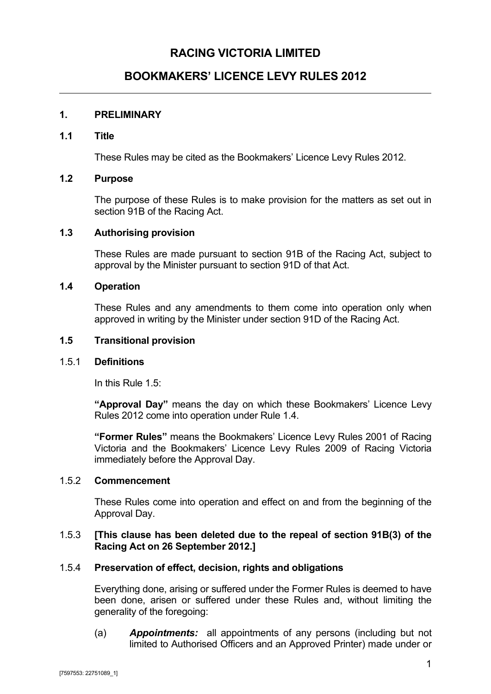## **RACING VICTORIA LIMITED**

## **BOOKMAKERS' LICENCE LEVY RULES 2012**

## <span id="page-4-0"></span>**1. PRELIMINARY**

#### <span id="page-4-1"></span>**1.1 Title**

These Rules may be cited as the Bookmakers' Licence Levy Rules 2012.

#### <span id="page-4-2"></span>**1.2 Purpose**

The purpose of these Rules is to make provision for the matters as set out in section 91B of the Racing Act.

#### <span id="page-4-3"></span>**1.3 Authorising provision**

These Rules are made pursuant to section 91B of the Racing Act, subject to approval by the Minister pursuant to section 91D of that Act.

#### <span id="page-4-4"></span>**1.4 Operation**

These Rules and any amendments to them come into operation only when approved in writing by the Minister under section 91D of the Racing Act.

#### <span id="page-4-5"></span>**1.5 Transitional provision**

#### <span id="page-4-6"></span>1.5.1 **Definitions**

In this Rule [1.5:](#page-4-5)

**"Approval Day"** means the day on which these Bookmakers' Licence Levy Rules 2012 come into operation under Rule [1.4.](#page-4-4)

**"Former Rules"** means the Bookmakers' Licence Levy Rules 2001 of Racing Victoria and the Bookmakers' Licence Levy Rules 2009 of Racing Victoria immediately before the Approval Day.

#### <span id="page-4-7"></span>1.5.2 **Commencement**

These Rules come into operation and effect on and from the beginning of the Approval Day.

#### <span id="page-4-8"></span>1.5.3 **[This clause has been deleted due to the repeal of section 91B(3) of the Racing Act on 26 September 2012.]**

## <span id="page-4-9"></span>1.5.4 **Preservation of effect, decision, rights and obligations**

Everything done, arising or suffered under the Former Rules is deemed to have been done, arisen or suffered under these Rules and, without limiting the generality of the foregoing:

(a) *Appointments:* all appointments of any persons (including but not limited to Authorised Officers and an Approved Printer) made under or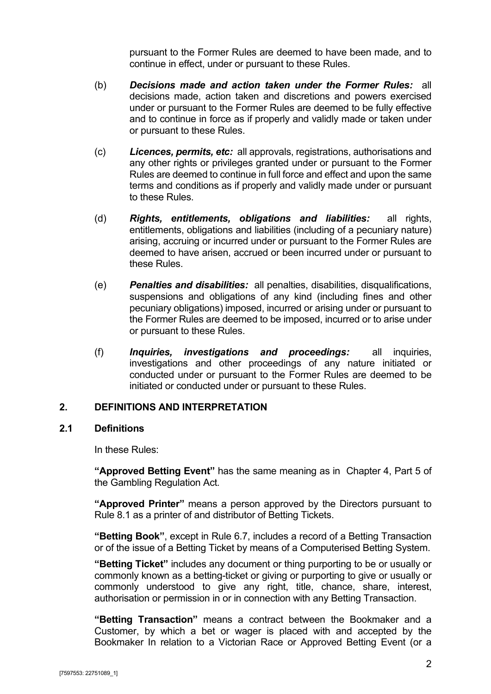pursuant to the Former Rules are deemed to have been made, and to continue in effect, under or pursuant to these Rules.

- (b) *Decisions made and action taken under the Former Rules:* all decisions made, action taken and discretions and powers exercised under or pursuant to the Former Rules are deemed to be fully effective and to continue in force as if properly and validly made or taken under or pursuant to these Rules.
- (c) *Licences, permits, etc:* all approvals, registrations, authorisations and any other rights or privileges granted under or pursuant to the Former Rules are deemed to continue in full force and effect and upon the same terms and conditions as if properly and validly made under or pursuant to these Rules.
- (d) *Rights, entitlements, obligations and liabilities:* all rights, entitlements, obligations and liabilities (including of a pecuniary nature) arising, accruing or incurred under or pursuant to the Former Rules are deemed to have arisen, accrued or been incurred under or pursuant to these Rules.
- (e) *Penalties and disabilities:* all penalties, disabilities, disqualifications, suspensions and obligations of any kind (including fines and other pecuniary obligations) imposed, incurred or arising under or pursuant to the Former Rules are deemed to be imposed, incurred or to arise under or pursuant to these Rules.
- (f) *Inquiries, investigations and proceedings:* all inquiries, investigations and other proceedings of any nature initiated or conducted under or pursuant to the Former Rules are deemed to be initiated or conducted under or pursuant to these Rules.

## <span id="page-5-0"></span>**2. DEFINITIONS AND INTERPRETATION**

#### <span id="page-5-1"></span>**2.1 Definitions**

In these Rules:

**"Approved Betting Event"** has the same meaning as in Chapter 4, Part 5 of the Gambling Regulation Act*.*

**"Approved Printer"** means a person approved by the Directors pursuant to Rule [8.1](#page-18-4) as a printer of and distributor of Betting Tickets.

**"Betting Book"**, except in Rule [6.7,](#page-16-2) includes a record of a Betting Transaction or of the issue of a Betting Ticket by means of a Computerised Betting System.

**"Betting Ticket"** includes any document or thing purporting to be or usually or commonly known as a betting-ticket or giving or purporting to give or usually or commonly understood to give any right, title, chance, share, interest, authorisation or permission in or in connection with any Betting Transaction.

**"Betting Transaction"** means a contract between the Bookmaker and a Customer, by which a bet or wager is placed with and accepted by the Bookmaker In relation to a Victorian Race or Approved Betting Event (or a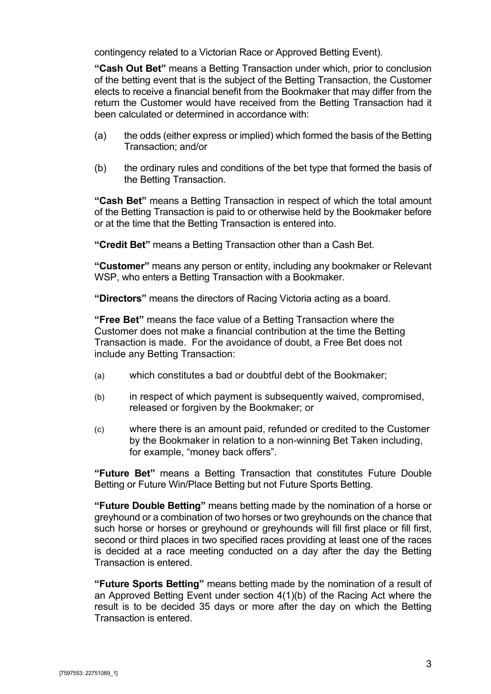contingency related to a Victorian Race or Approved Betting Event).

**"Cash Out Bet"** means a Betting Transaction under which, prior to conclusion of the betting event that is the subject of the Betting Transaction, the Customer elects to receive a financial benefit from the Bookmaker that may differ from the return the Customer would have received from the Betting Transaction had it been calculated or determined in accordance with:

- (a) the odds (either express or implied) which formed the basis of the Betting Transaction; and/or
- (b) the ordinary rules and conditions of the bet type that formed the basis of the Betting Transaction.

**"Cash Bet"** means a Betting Transaction in respect of which the total amount of the Betting Transaction is paid to or otherwise held by the Bookmaker before or at the time that the Betting Transaction is entered into.

**"Credit Bet"** means a Betting Transaction other than a Cash Bet.

**"Customer"** means any person or entity, including any bookmaker or Relevant WSP, who enters a Betting Transaction with a Bookmaker.

**"Directors"** means the directors of Racing Victoria acting as a board.

**"Free Bet"** means the face value of a Betting Transaction where the Customer does not make a financial contribution at the time the Betting Transaction is made. For the avoidance of doubt, a Free Bet does not include any Betting Transaction:

- (a) which constitutes a bad or doubtful debt of the Bookmaker;
- (b) in respect of which payment is subsequently waived, compromised, released or forgiven by the Bookmaker; or
- (c) where there is an amount paid, refunded or credited to the Customer by the Bookmaker in relation to a non-winning Bet Taken including, for example, "money back offers".

**"Future Bet"** means a Betting Transaction that constitutes Future Double Betting or Future Win/Place Betting but not Future Sports Betting.

**"Future Double Betting"** means betting made by the nomination of a horse or greyhound or a combination of two horses or two greyhounds on the chance that such horse or horses or greyhound or greyhounds will fill first place or fill first, second or third places in two specified races providing at least one of the races is decided at a race meeting conducted on a day after the day the Betting Transaction is entered.

**"Future Sports Betting"** means betting made by the nomination of a result of an Approved Betting Event under section 4(1)(b) of the Racing Act where the result is to be decided 35 days or more after the day on which the Betting Transaction is entered.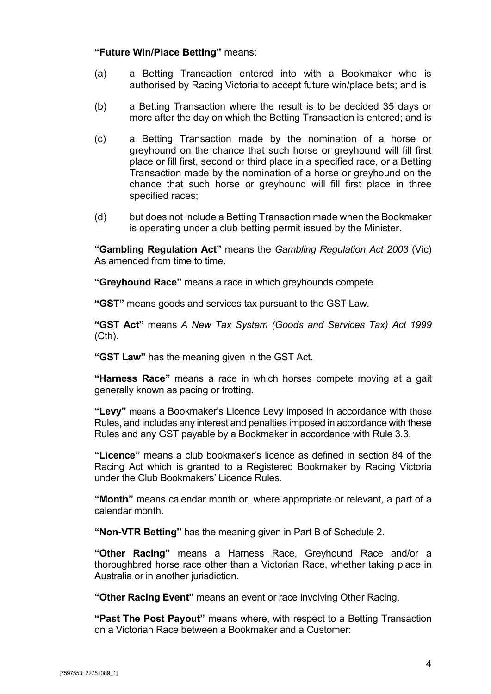## **"Future Win/Place Betting"** means:

- (a) a Betting Transaction entered into with a Bookmaker who is authorised by Racing Victoria to accept future win/place bets; and is
- (b) a Betting Transaction where the result is to be decided 35 days or more after the day on which the Betting Transaction is entered; and is
- (c) a Betting Transaction made by the nomination of a horse or greyhound on the chance that such horse or greyhound will fill first place or fill first, second or third place in a specified race, or a Betting Transaction made by the nomination of a horse or greyhound on the chance that such horse or greyhound will fill first place in three specified races;
- (d) but does not include a Betting Transaction made when the Bookmaker is operating under a club betting permit issued by the Minister.

**"Gambling Regulation Act"** means the *Gambling Regulation Act 2003* (Vic) As amended from time to time.

**"Greyhound Race"** means a race in which greyhounds compete.

**"GST"** means goods and services tax pursuant to the GST Law.

**"GST Act"** means *A New Tax System (Goods and Services Tax) Act 1999* (Cth).

**"GST Law"** has the meaning given in the GST Act.

**"Harness Race"** means a race in which horses compete moving at a gait generally known as pacing or trotting.

**"Levy"** means a Bookmaker's Licence Levy imposed in accordance with these Rules, and includes any interest and penalties imposed in accordance with these Rules and any GST payable by a Bookmaker in accordance with Rule [3.3.](#page-10-1)

**"Licence"** means a club bookmaker's licence as defined in section 84 of the Racing Act which is granted to a Registered Bookmaker by Racing Victoria under the Club Bookmakers' Licence Rules.

**"Month"** means calendar month or, where appropriate or relevant, a part of a calendar month.

**"Non-VTR Betting"** has the meaning given in Part B of Schedule 2.

**"Other Racing"** means a Harness Race, Greyhound Race and/or a thoroughbred horse race other than a Victorian Race, whether taking place in Australia or in another jurisdiction.

**"Other Racing Event"** means an event or race involving Other Racing.

**"Past The Post Payout"** means where, with respect to a Betting Transaction on a Victorian Race between a Bookmaker and a Customer: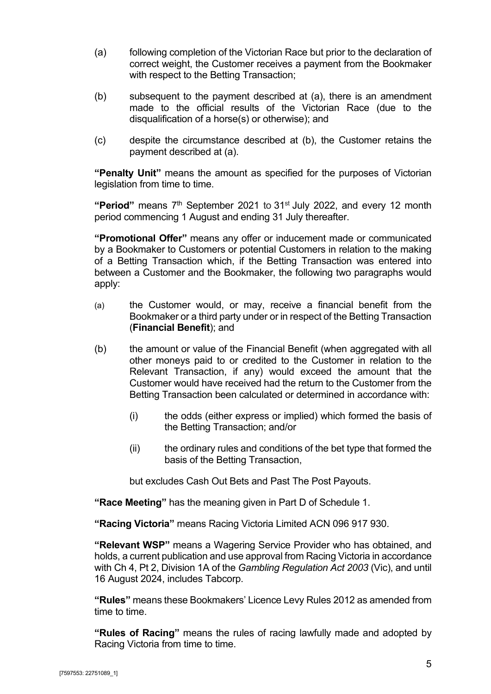- <span id="page-8-0"></span>(a) following completion of the Victorian Race but prior to the declaration of correct weight, the Customer receives a payment from the Bookmaker with respect to the Betting Transaction;
- <span id="page-8-1"></span>(b) subsequent to the payment described at [\(a\),](#page-8-0) there is an amendment made to the official results of the Victorian Race (due to the disqualification of a horse(s) or otherwise); and
- (c) despite the circumstance described at [\(b\),](#page-8-1) the Customer retains the payment described at [\(a\).](#page-8-0)

**"Penalty Unit"** means the amount as specified for the purposes of Victorian legislation from time to time.

**"Period"** means 7th September 2021 to 31st July 2022, and every 12 month period commencing 1 August and ending 31 July thereafter.

**"Promotional Offer"** means any offer or inducement made or communicated by a Bookmaker to Customers or potential Customers in relation to the making of a Betting Transaction which, if the Betting Transaction was entered into between a Customer and the Bookmaker, the following two paragraphs would apply:

- (a) the Customer would, or may, receive a financial benefit from the Bookmaker or a third party under or in respect of the Betting Transaction (**Financial Benefit**); and
- (b) the amount or value of the Financial Benefit (when aggregated with all other moneys paid to or credited to the Customer in relation to the Relevant Transaction, if any) would exceed the amount that the Customer would have received had the return to the Customer from the Betting Transaction been calculated or determined in accordance with:
	- (i) the odds (either express or implied) which formed the basis of the Betting Transaction; and/or
	- (ii) the ordinary rules and conditions of the bet type that formed the basis of the Betting Transaction,

but excludes Cash Out Bets and Past The Post Payouts.

**"Race Meeting"** has the meaning given in Part D of Schedule 1.

**"Racing Victoria"** means Racing Victoria Limited ACN 096 917 930.

**"Relevant WSP"** means a Wagering Service Provider who has obtained, and holds, a current publication and use approval from Racing Victoria in accordance with Ch 4, Pt 2, Division 1A of the *Gambling Regulation Act 2003* (Vic), and until 16 August 2024, includes Tabcorp.

**"Rules"** means these Bookmakers' Licence Levy Rules 2012 as amended from time to time.

**"Rules of Racing"** means the rules of racing lawfully made and adopted by Racing Victoria from time to time.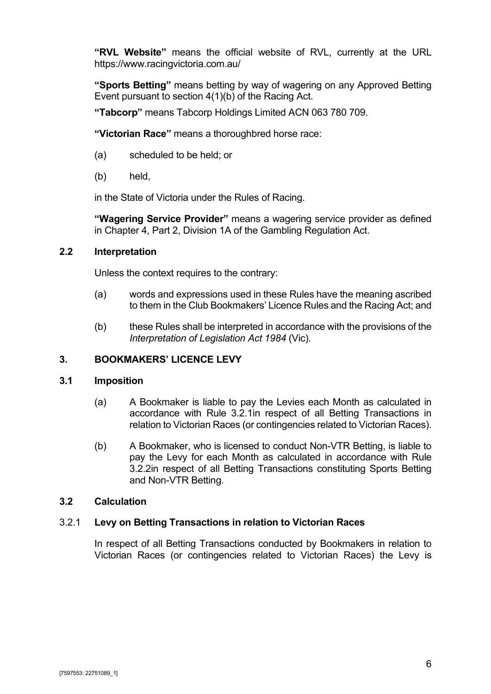**"RVL Website"** means the official website of RVL, currently at the URL https://www.racingvictoria.com.au/

**"Sports Betting"** means betting by way of wagering on any Approved Betting Event pursuant to section 4(1)(b) of the Racing Act.

**"Tabcorp"** means Tabcorp Holdings Limited ACN 063 780 709.

**"Victorian Race"** means a thoroughbred horse race:

- (a) scheduled to be held; or
- (b) held,

in the State of Victoria under the Rules of Racing.

**"Wagering Service Provider"** means a wagering service provider as defined in Chapter 4, Part 2, Division 1A of the Gambling Regulation Act.

## <span id="page-9-0"></span>**2.2 Interpretation**

Unless the context requires to the contrary:

- (a) words and expressions used in these Rules have the meaning ascribed to them in the Club Bookmakers' Licence Rules and the Racing Act; and
- (b) these Rules shall be interpreted in accordance with the provisions of the *Interpretation of Legislation Act 1984* (Vic).

## <span id="page-9-1"></span>**3. BOOKMAKERS' LICENCE LEVY**

## <span id="page-9-2"></span>**3.1 Imposition**

- (a) A Bookmaker is liable to pay the Levies each Month as calculated in accordance with Rule [3.2.1in](#page-9-4) respect of all Betting Transactions in relation to Victorian Races (or contingencies related to Victorian Races).
- (b) A Bookmaker, who is licensed to conduct Non-VTR Betting, is liable to pay the Levy for each Month as calculated in accordance with Rule [3.2.2i](#page-10-0)n respect of all Betting Transactions constituting Sports Betting and Non-VTR Betting.

## <span id="page-9-3"></span>**3.2 Calculation**

## <span id="page-9-4"></span>3.2.1 **Levy on Betting Transactions in relation to Victorian Races**

In respect of all Betting Transactions conducted by Bookmakers in relation to Victorian Races (or contingencies related to Victorian Races) the Levy is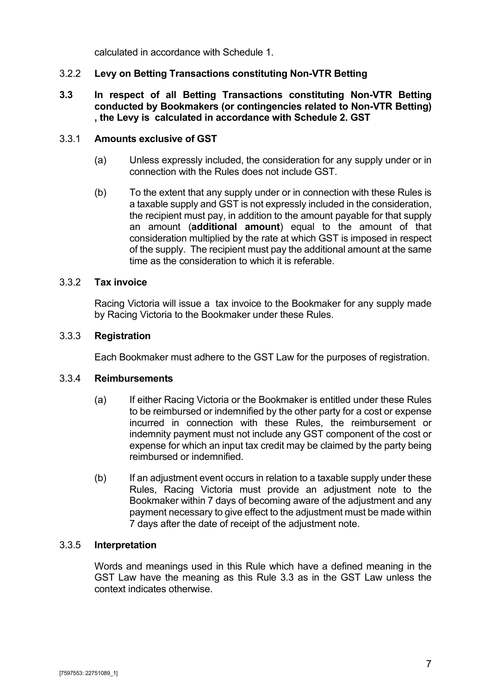calculated in accordance with [Schedule 1.](#page-22-0)

## <span id="page-10-0"></span>3.2.2 **Levy on Betting Transactions constituting Non-VTR Betting**

## **3.3 In respect of all Betting Transactions constituting Non-VTR Betting conducted by Bookmakers (or contingencies related to Non-VTR Betting) , the Levy is calculated in accordance with Schedule 2. GST**

## <span id="page-10-2"></span>3.3.1 **Amounts exclusive of GST**

- <span id="page-10-1"></span>(a) Unless expressly included, the consideration for any supply under or in connection with the Rules does not include GST.
- (b) To the extent that any supply under or in connection with these Rules is a taxable supply and GST is not expressly included in the consideration, the recipient must pay, in addition to the amount payable for that supply an amount (**additional amount**) equal to the amount of that consideration multiplied by the rate at which GST is imposed in respect of the supply. The recipient must pay the additional amount at the same time as the consideration to which it is referable.

#### <span id="page-10-3"></span>3.3.2 **Tax invoice**

Racing Victoria will issue a tax invoice to the Bookmaker for any supply made by Racing Victoria to the Bookmaker under these Rules.

#### <span id="page-10-4"></span>3.3.3 **Registration**

Each Bookmaker must adhere to the GST Law for the purposes of registration.

#### <span id="page-10-5"></span>3.3.4 **Reimbursements**

- (a) If either Racing Victoria or the Bookmaker is entitled under these Rules to be reimbursed or indemnified by the other party for a cost or expense incurred in connection with these Rules, the reimbursement or indemnity payment must not include any GST component of the cost or expense for which an input tax credit may be claimed by the party being reimbursed or indemnified.
- (b) If an adjustment event occurs in relation to a taxable supply under these Rules, Racing Victoria must provide an adjustment note to the Bookmaker within 7 days of becoming aware of the adjustment and any payment necessary to give effect to the adjustment must be made within 7 days after the date of receipt of the adjustment note.

## <span id="page-10-6"></span>3.3.5 **Interpretation**

Words and meanings used in this Rule which have a defined meaning in the GST Law have the meaning as this Rule [3.3](#page-10-1) as in the GST Law unless the context indicates otherwise.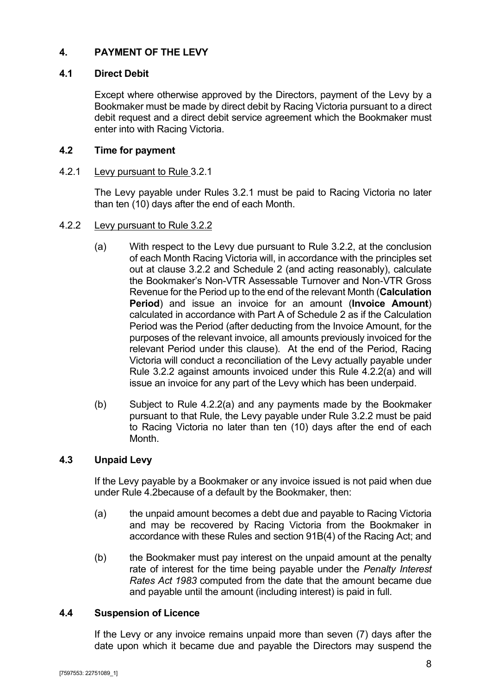## <span id="page-11-0"></span>**4. PAYMENT OF THE LEVY**

## <span id="page-11-1"></span>**4.1 Direct Debit**

Except where otherwise approved by the Directors, payment of the Levy by a Bookmaker must be made by direct debit by Racing Victoria pursuant to a direct debit request and a direct debit service agreement which the Bookmaker must enter into with Racing Victoria.

## <span id="page-11-2"></span>**4.2 Time for payment**

#### <span id="page-11-3"></span>4.2.1 Levy pursuant to Rule [3.2.1](#page-9-4)

The Levy payable under Rules [3.2.1](#page-9-4) must be paid to Racing Victoria no later than ten (10) days after the end of each Month.

#### <span id="page-11-7"></span><span id="page-11-4"></span>4.2.2 Levy pursuant to Rule [3.2.2](#page-10-0)

- (a) With respect to the Levy due pursuant to Rule [3.2.2,](#page-10-0) at the conclusion of each Month Racing Victoria will, in accordance with the principles set out at clause [3.2.2](#page-10-0) and Schedule 2 (and acting reasonably), calculate the Bookmaker's Non-VTR Assessable Turnover and Non-VTR Gross Revenue for the Period up to the end of the relevant Month (**Calculation Period**) and issue an invoice for an amount (**Invoice Amount**) calculated in accordance with Part A of Schedule 2 as if the Calculation Period was the Period (after deducting from the Invoice Amount, for the purposes of the relevant invoice, all amounts previously invoiced for the relevant Period under this clause). At the end of the Period, Racing Victoria will conduct a reconciliation of the Levy actually payable under Rule [3.2.2](#page-10-0) against amounts invoiced under this Rule [4.2.2](#page-11-4)[\(a\)](#page-11-7) and will issue an invoice for any part of the Levy which has been underpaid.
- (b) Subject to Rule [4.2.2](#page-11-4)[\(a\)](#page-11-7) and any payments made by the Bookmaker pursuant to that Rule, the Levy payable under Rule [3.2.2](#page-10-0) must be paid to Racing Victoria no later than ten (10) days after the end of each **Month**

## <span id="page-11-5"></span>**4.3 Unpaid Levy**

If the Levy payable by a Bookmaker or any invoice issued is not paid when due under Rule [4.2b](#page-11-2)ecause of a default by the Bookmaker, then:

- (a) the unpaid amount becomes a debt due and payable to Racing Victoria and may be recovered by Racing Victoria from the Bookmaker in accordance with these Rules and section 91B(4) of the Racing Act; and
- (b) the Bookmaker must pay interest on the unpaid amount at the penalty rate of interest for the time being payable under the *Penalty Interest Rates Act 1983* computed from the date that the amount became due and payable until the amount (including interest) is paid in full.

## <span id="page-11-6"></span>**4.4 Suspension of Licence**

If the Levy or any invoice remains unpaid more than seven (7) days after the date upon which it became due and payable the Directors may suspend the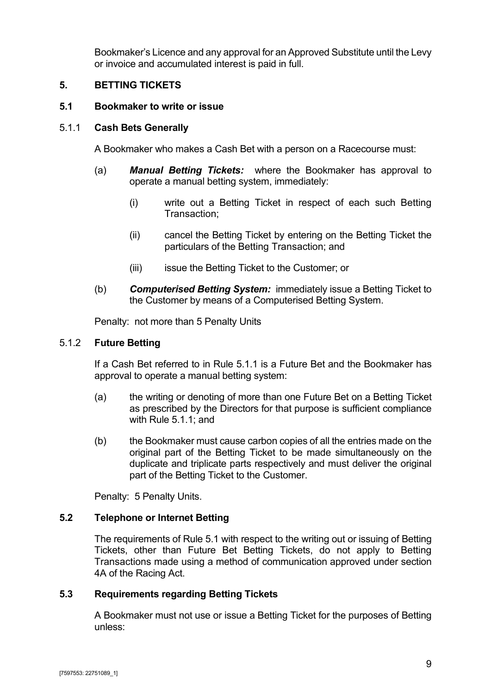Bookmaker's Licence and any approval for an Approved Substitute until the Levy or invoice and accumulated interest is paid in full.

## <span id="page-12-0"></span>**5. BETTING TICKETS**

#### <span id="page-12-1"></span>**5.1 Bookmaker to write or issue**

#### <span id="page-12-2"></span>5.1.1 **Cash Bets Generally**

A Bookmaker who makes a Cash Bet with a person on a Racecourse must:

- (a) *Manual Betting Tickets:* where the Bookmaker has approval to operate a manual betting system, immediately:
	- (i) write out a Betting Ticket in respect of each such Betting Transaction;
	- (ii) cancel the Betting Ticket by entering on the Betting Ticket the particulars of the Betting Transaction; and
	- (iii) issue the Betting Ticket to the Customer; or
- (b) *Computerised Betting System:* immediately issue a Betting Ticket to the Customer by means of a Computerised Betting System.

Penalty: not more than 5 Penalty Units

#### <span id="page-12-3"></span>5.1.2 **Future Betting**

If a Cash Bet referred to in Rule [5.1.1](#page-12-2) is a Future Bet and the Bookmaker has approval to operate a manual betting system:

- (a) the writing or denoting of more than one Future Bet on a Betting Ticket as prescribed by the Directors for that purpose is sufficient compliance with Rule [5.1.1;](#page-12-2) and
- (b) the Bookmaker must cause carbon copies of all the entries made on the original part of the Betting Ticket to be made simultaneously on the duplicate and triplicate parts respectively and must deliver the original part of the Betting Ticket to the Customer.

Penalty: 5 Penalty Units.

## <span id="page-12-4"></span>**5.2 Telephone or Internet Betting**

The requirements of Rule [5.1](#page-12-1) with respect to the writing out or issuing of Betting Tickets, other than Future Bet Betting Tickets, do not apply to Betting Transactions made using a method of communication approved under section 4A of the Racing Act.

## <span id="page-12-5"></span>**5.3 Requirements regarding Betting Tickets**

A Bookmaker must not use or issue a Betting Ticket for the purposes of Betting unless: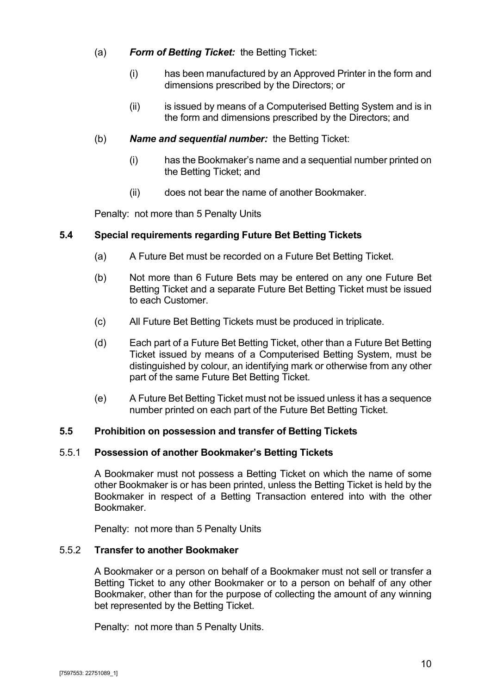## (a) *Form of Betting Ticket:* the Betting Ticket:

- (i) has been manufactured by an Approved Printer in the form and dimensions prescribed by the Directors; or
- (ii) is issued by means of a Computerised Betting System and is in the form and dimensions prescribed by the Directors; and

## (b) *Name and sequential number:* the Betting Ticket:

- (i) has the Bookmaker's name and a sequential number printed on the Betting Ticket; and
- (ii) does not bear the name of another Bookmaker.

Penalty: not more than 5 Penalty Units

## <span id="page-13-0"></span>**5.4 Special requirements regarding Future Bet Betting Tickets**

- (a) A Future Bet must be recorded on a Future Bet Betting Ticket.
- (b) Not more than 6 Future Bets may be entered on any one Future Bet Betting Ticket and a separate Future Bet Betting Ticket must be issued to each Customer.
- (c) All Future Bet Betting Tickets must be produced in triplicate.
- (d) Each part of a Future Bet Betting Ticket, other than a Future Bet Betting Ticket issued by means of a Computerised Betting System, must be distinguished by colour, an identifying mark or otherwise from any other part of the same Future Bet Betting Ticket.
- (e) A Future Bet Betting Ticket must not be issued unless it has a sequence number printed on each part of the Future Bet Betting Ticket.

## <span id="page-13-1"></span>**5.5 Prohibition on possession and transfer of Betting Tickets**

#### <span id="page-13-2"></span>5.5.1 **Possession of another Bookmaker's Betting Tickets**

A Bookmaker must not possess a Betting Ticket on which the name of some other Bookmaker is or has been printed, unless the Betting Ticket is held by the Bookmaker in respect of a Betting Transaction entered into with the other Bookmaker.

Penalty: not more than 5 Penalty Units

#### <span id="page-13-3"></span>5.5.2 **Transfer to another Bookmaker**

A Bookmaker or a person on behalf of a Bookmaker must not sell or transfer a Betting Ticket to any other Bookmaker or to a person on behalf of any other Bookmaker, other than for the purpose of collecting the amount of any winning bet represented by the Betting Ticket.

Penalty: not more than 5 Penalty Units.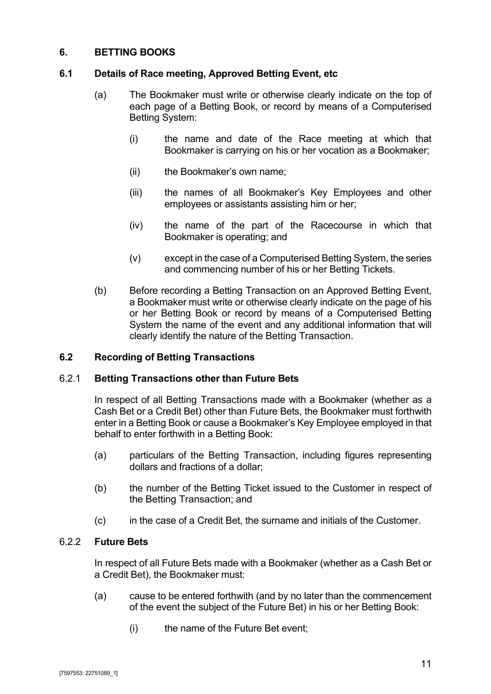## <span id="page-14-0"></span>**6. BETTING BOOKS**

## <span id="page-14-1"></span>**6.1 Details of Race meeting, Approved Betting Event, etc**

- (a) The Bookmaker must write or otherwise clearly indicate on the top of each page of a Betting Book, or record by means of a Computerised Betting System:
	- (i) the name and date of the Race meeting at which that Bookmaker is carrying on his or her vocation as a Bookmaker;
	- (ii) the Bookmaker's own name;
	- (iii) the names of all Bookmaker's Key Employees and other employees or assistants assisting him or her;
	- (iv) the name of the part of the Racecourse in which that Bookmaker is operating; and
	- (v) except in the case of a Computerised Betting System, the series and commencing number of his or her Betting Tickets.
- (b) Before recording a Betting Transaction on an Approved Betting Event, a Bookmaker must write or otherwise clearly indicate on the page of his or her Betting Book or record by means of a Computerised Betting System the name of the event and any additional information that will clearly identify the nature of the Betting Transaction.

## <span id="page-14-2"></span>**6.2 Recording of Betting Transactions**

## <span id="page-14-3"></span>6.2.1 **Betting Transactions other than Future Bets**

In respect of all Betting Transactions made with a Bookmaker (whether as a Cash Bet or a Credit Bet) other than Future Bets, the Bookmaker must forthwith enter in a Betting Book or cause a Bookmaker's Key Employee employed in that behalf to enter forthwith in a Betting Book:

- (a) particulars of the Betting Transaction, including figures representing dollars and fractions of a dollar;
- (b) the number of the Betting Ticket issued to the Customer in respect of the Betting Transaction; and
- (c) in the case of a Credit Bet, the surname and initials of the Customer.

## <span id="page-14-4"></span>6.2.2 **Future Bets**

In respect of all Future Bets made with a Bookmaker (whether as a Cash Bet or a Credit Bet), the Bookmaker must:

- (a) cause to be entered forthwith (and by no later than the commencement of the event the subject of the Future Bet) in his or her Betting Book:
	- (i) the name of the Future Bet event;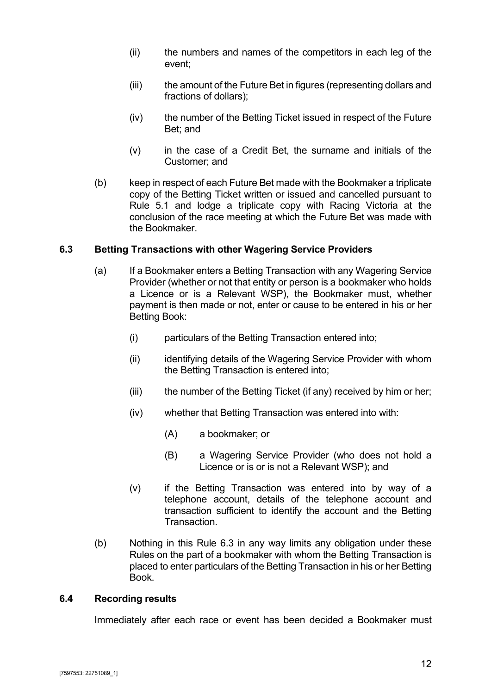- (ii) the numbers and names of the competitors in each leg of the event;
- (iii) the amount of the Future Bet in figures (representing dollars and fractions of dollars);
- (iv) the number of the Betting Ticket issued in respect of the Future Bet; and
- (v) in the case of a Credit Bet, the surname and initials of the Customer; and
- (b) keep in respect of each Future Bet made with the Bookmaker a triplicate copy of the Betting Ticket written or issued and cancelled pursuant to Rule [5.1](#page-12-1) and lodge a triplicate copy with Racing Victoria at the conclusion of the race meeting at which the Future Bet was made with the Bookmaker.

## <span id="page-15-0"></span>**6.3 Betting Transactions with other Wagering Service Providers**

- (a) If a Bookmaker enters a Betting Transaction with any Wagering Service Provider (whether or not that entity or person is a bookmaker who holds a Licence or is a Relevant WSP), the Bookmaker must, whether payment is then made or not, enter or cause to be entered in his or her Betting Book:
	- (i) particulars of the Betting Transaction entered into;
	- (ii) identifying details of the Wagering Service Provider with whom the Betting Transaction is entered into;
	- (iii) the number of the Betting Ticket (if any) received by him or her;
	- (iv) whether that Betting Transaction was entered into with:
		- (A) a bookmaker; or
		- (B) a Wagering Service Provider (who does not hold a Licence or is or is not a Relevant WSP); and
	- (v) if the Betting Transaction was entered into by way of a telephone account, details of the telephone account and transaction sufficient to identify the account and the Betting Transaction.
- (b) Nothing in this Rule [6.3](#page-15-0) in any way limits any obligation under these Rules on the part of a bookmaker with whom the Betting Transaction is placed to enter particulars of the Betting Transaction in his or her Betting Book.

#### <span id="page-15-1"></span>**6.4 Recording results**

Immediately after each race or event has been decided a Bookmaker must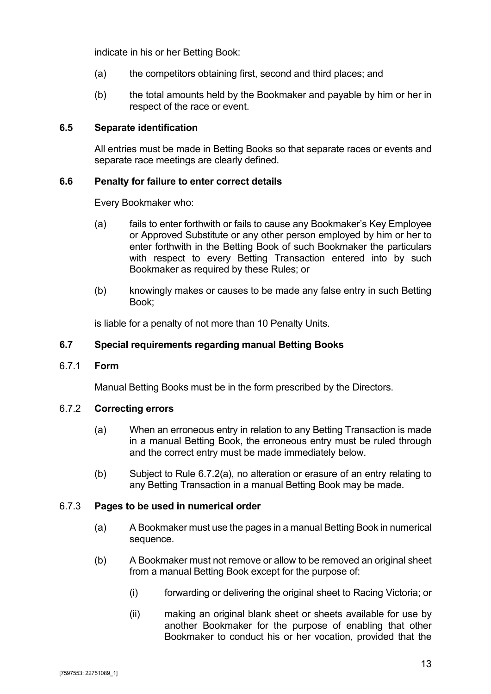indicate in his or her Betting Book:

- (a) the competitors obtaining first, second and third places; and
- (b) the total amounts held by the Bookmaker and payable by him or her in respect of the race or event.

#### <span id="page-16-0"></span>**6.5 Separate identification**

All entries must be made in Betting Books so that separate races or events and separate race meetings are clearly defined.

#### <span id="page-16-1"></span>**6.6 Penalty for failure to enter correct details**

Every Bookmaker who:

- (a) fails to enter forthwith or fails to cause any Bookmaker's Key Employee or Approved Substitute or any other person employed by him or her to enter forthwith in the Betting Book of such Bookmaker the particulars with respect to every Betting Transaction entered into by such Bookmaker as required by these Rules; or
- (b) knowingly makes or causes to be made any false entry in such Betting Book;

is liable for a penalty of not more than 10 Penalty Units.

#### <span id="page-16-2"></span>**6.7 Special requirements regarding manual Betting Books**

<span id="page-16-3"></span>6.7.1 **Form**

Manual Betting Books must be in the form prescribed by the Directors.

#### <span id="page-16-6"></span><span id="page-16-4"></span>6.7.2 **Correcting errors**

- (a) When an erroneous entry in relation to any Betting Transaction is made in a manual Betting Book, the erroneous entry must be ruled through and the correct entry must be made immediately below.
- (b) Subject to Rule [6.7.2](#page-16-4)[\(a\),](#page-16-6) no alteration or erasure of an entry relating to any Betting Transaction in a manual Betting Book may be made.

#### <span id="page-16-5"></span>6.7.3 **Pages to be used in numerical order**

- (a) A Bookmaker must use the pages in a manual Betting Book in numerical sequence.
- (b) A Bookmaker must not remove or allow to be removed an original sheet from a manual Betting Book except for the purpose of:
	- (i) forwarding or delivering the original sheet to Racing Victoria; or
	- (ii) making an original blank sheet or sheets available for use by another Bookmaker for the purpose of enabling that other Bookmaker to conduct his or her vocation, provided that the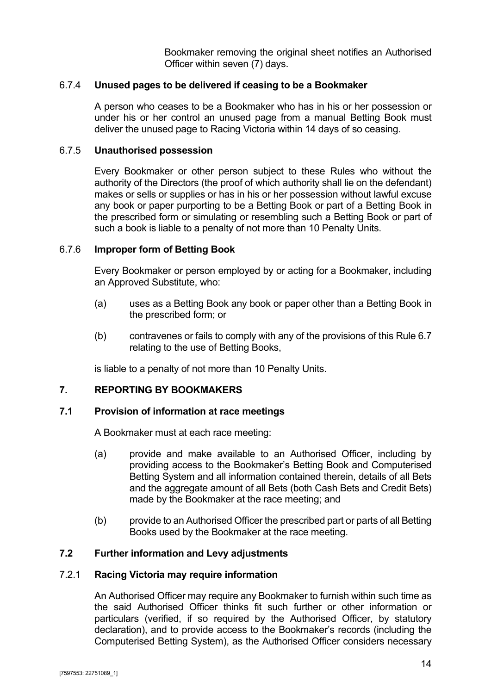Bookmaker removing the original sheet notifies an Authorised Officer within seven (7) days.

#### <span id="page-17-0"></span>6.7.4 **Unused pages to be delivered if ceasing to be a Bookmaker**

A person who ceases to be a Bookmaker who has in his or her possession or under his or her control an unused page from a manual Betting Book must deliver the unused page to Racing Victoria within 14 days of so ceasing.

#### <span id="page-17-1"></span>6.7.5 **Unauthorised possession**

Every Bookmaker or other person subject to these Rules who without the authority of the Directors (the proof of which authority shall lie on the defendant) makes or sells or supplies or has in his or her possession without lawful excuse any book or paper purporting to be a Betting Book or part of a Betting Book in the prescribed form or simulating or resembling such a Betting Book or part of such a book is liable to a penalty of not more than 10 Penalty Units.

#### <span id="page-17-2"></span>6.7.6 **Improper form of Betting Book**

Every Bookmaker or person employed by or acting for a Bookmaker, including an Approved Substitute, who:

- (a) uses as a Betting Book any book or paper other than a Betting Book in the prescribed form; or
- (b) contravenes or fails to comply with any of the provisions of this Rule [6.7](#page-16-2) relating to the use of Betting Books,

is liable to a penalty of not more than 10 Penalty Units.

#### <span id="page-17-3"></span>**7. REPORTING BY BOOKMAKERS**

#### <span id="page-17-4"></span>**7.1 Provision of information at race meetings**

A Bookmaker must at each race meeting:

- (a) provide and make available to an Authorised Officer, including by providing access to the Bookmaker's Betting Book and Computerised Betting System and all information contained therein, details of all Bets and the aggregate amount of all Bets (both Cash Bets and Credit Bets) made by the Bookmaker at the race meeting; and
- (b) provide to an Authorised Officer the prescribed part or parts of all Betting Books used by the Bookmaker at the race meeting.

#### <span id="page-17-5"></span>**7.2 Further information and Levy adjustments**

#### <span id="page-17-6"></span>7.2.1 **Racing Victoria may require information**

An Authorised Officer may require any Bookmaker to furnish within such time as the said Authorised Officer thinks fit such further or other information or particulars (verified, if so required by the Authorised Officer, by statutory declaration), and to provide access to the Bookmaker's records (including the Computerised Betting System), as the Authorised Officer considers necessary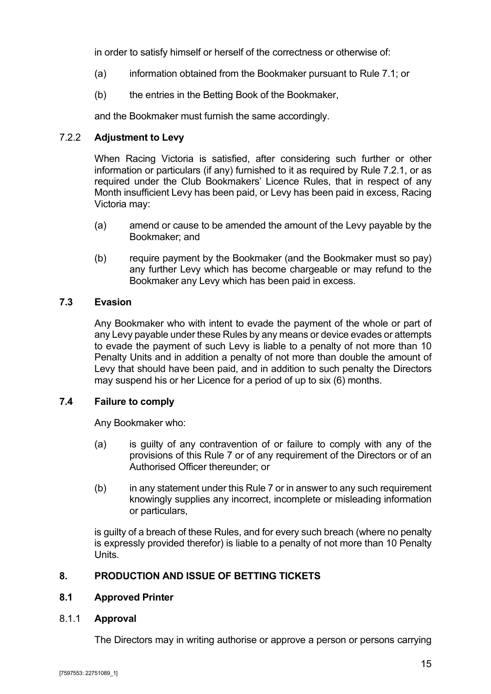in order to satisfy himself or herself of the correctness or otherwise of:

- (a) information obtained from the Bookmaker pursuant to Rule [7.1;](#page-17-4) or
- (b) the entries in the Betting Book of the Bookmaker,

and the Bookmaker must furnish the same accordingly.

## <span id="page-18-0"></span>7.2.2 **Adjustment to Levy**

When Racing Victoria is satisfied, after considering such further or other information or particulars (if any) furnished to it as required by Rule [7.2.1,](#page-17-6) or as required under the Club Bookmakers' Licence Rules, that in respect of any Month insufficient Levy has been paid, or Levy has been paid in excess, Racing Victoria may:

- (a) amend or cause to be amended the amount of the Levy payable by the Bookmaker; and
- (b) require payment by the Bookmaker (and the Bookmaker must so pay) any further Levy which has become chargeable or may refund to the Bookmaker any Levy which has been paid in excess.

## <span id="page-18-1"></span>**7.3 Evasion**

Any Bookmaker who with intent to evade the payment of the whole or part of any Levy payable under these Rules by any means or device evades or attempts to evade the payment of such Levy is liable to a penalty of not more than 10 Penalty Units and in addition a penalty of not more than double the amount of Levy that should have been paid, and in addition to such penalty the Directors may suspend his or her Licence for a period of up to six (6) months.

## <span id="page-18-2"></span>**7.4 Failure to comply**

Any Bookmaker who:

- (a) is guilty of any contravention of or failure to comply with any of the provisions of this Rule [7](#page-17-3) or of any requirement of the Directors or of an Authorised Officer thereunder; or
- (b) in any statement under this Rule [7](#page-17-3) or in answer to any such requirement knowingly supplies any incorrect, incomplete or misleading information or particulars,

is guilty of a breach of these Rules, and for every such breach (where no penalty is expressly provided therefor) is liable to a penalty of not more than 10 Penalty Units.

## <span id="page-18-3"></span>**8. PRODUCTION AND ISSUE OF BETTING TICKETS**

## <span id="page-18-4"></span>**8.1 Approved Printer**

## <span id="page-18-5"></span>8.1.1 **Approval**

The Directors may in writing authorise or approve a person or persons carrying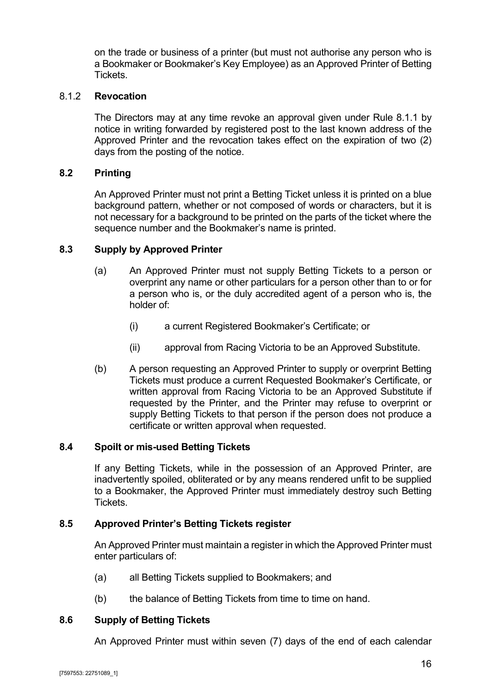on the trade or business of a printer (but must not authorise any person who is a Bookmaker or Bookmaker's Key Employee) as an Approved Printer of Betting Tickets.

## <span id="page-19-0"></span>8.1.2 **Revocation**

The Directors may at any time revoke an approval given under Rule [8.1.1](#page-18-5) by notice in writing forwarded by registered post to the last known address of the Approved Printer and the revocation takes effect on the expiration of two (2) days from the posting of the notice.

#### <span id="page-19-1"></span>**8.2 Printing**

An Approved Printer must not print a Betting Ticket unless it is printed on a blue background pattern, whether or not composed of words or characters, but it is not necessary for a background to be printed on the parts of the ticket where the sequence number and the Bookmaker's name is printed.

#### <span id="page-19-2"></span>**8.3 Supply by Approved Printer**

- (a) An Approved Printer must not supply Betting Tickets to a person or overprint any name or other particulars for a person other than to or for a person who is, or the duly accredited agent of a person who is, the holder of:
	- (i) a current Registered Bookmaker's Certificate; or
	- (ii) approval from Racing Victoria to be an Approved Substitute.
- (b) A person requesting an Approved Printer to supply or overprint Betting Tickets must produce a current Requested Bookmaker's Certificate, or written approval from Racing Victoria to be an Approved Substitute if requested by the Printer, and the Printer may refuse to overprint or supply Betting Tickets to that person if the person does not produce a certificate or written approval when requested.

#### <span id="page-19-3"></span>**8.4 Spoilt or mis-used Betting Tickets**

If any Betting Tickets, while in the possession of an Approved Printer, are inadvertently spoiled, obliterated or by any means rendered unfit to be supplied to a Bookmaker, the Approved Printer must immediately destroy such Betting **Tickets** 

#### <span id="page-19-4"></span>**8.5 Approved Printer's Betting Tickets register**

An Approved Printer must maintain a register in which the Approved Printer must enter particulars of:

- (a) all Betting Tickets supplied to Bookmakers; and
- (b) the balance of Betting Tickets from time to time on hand.

#### <span id="page-19-5"></span>**8.6 Supply of Betting Tickets**

An Approved Printer must within seven (7) days of the end of each calendar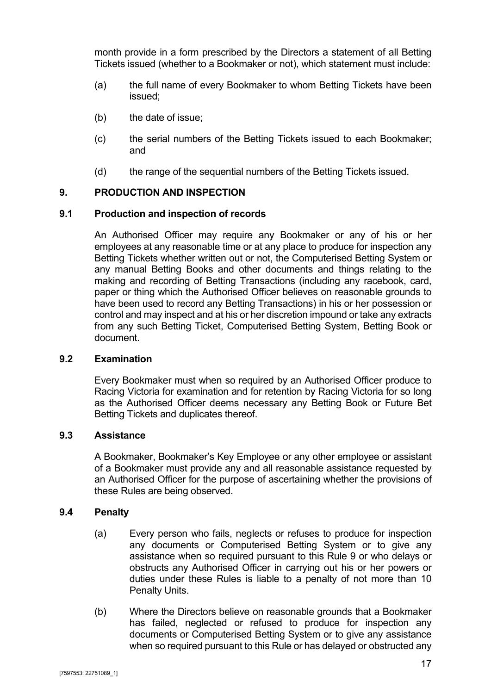month provide in a form prescribed by the Directors a statement of all Betting Tickets issued (whether to a Bookmaker or not), which statement must include:

- (a) the full name of every Bookmaker to whom Betting Tickets have been issued;
- (b) the date of issue;
- (c) the serial numbers of the Betting Tickets issued to each Bookmaker; and
- (d) the range of the sequential numbers of the Betting Tickets issued.

## <span id="page-20-0"></span>**9. PRODUCTION AND INSPECTION**

## <span id="page-20-1"></span>**9.1 Production and inspection of records**

An Authorised Officer may require any Bookmaker or any of his or her employees at any reasonable time or at any place to produce for inspection any Betting Tickets whether written out or not, the Computerised Betting System or any manual Betting Books and other documents and things relating to the making and recording of Betting Transactions (including any racebook, card, paper or thing which the Authorised Officer believes on reasonable grounds to have been used to record any Betting Transactions) in his or her possession or control and may inspect and at his or her discretion impound or take any extracts from any such Betting Ticket, Computerised Betting System, Betting Book or document.

## <span id="page-20-2"></span>**9.2 Examination**

Every Bookmaker must when so required by an Authorised Officer produce to Racing Victoria for examination and for retention by Racing Victoria for so long as the Authorised Officer deems necessary any Betting Book or Future Bet Betting Tickets and duplicates thereof.

## <span id="page-20-3"></span>**9.3 Assistance**

A Bookmaker, Bookmaker's Key Employee or any other employee or assistant of a Bookmaker must provide any and all reasonable assistance requested by an Authorised Officer for the purpose of ascertaining whether the provisions of these Rules are being observed.

## <span id="page-20-4"></span>**9.4 Penalty**

- (a) Every person who fails, neglects or refuses to produce for inspection any documents or Computerised Betting System or to give any assistance when so required pursuant to this Rule [9](#page-20-0) or who delays or obstructs any Authorised Officer in carrying out his or her powers or duties under these Rules is liable to a penalty of not more than 10 Penalty Units.
- (b) Where the Directors believe on reasonable grounds that a Bookmaker has failed, neglected or refused to produce for inspection any documents or Computerised Betting System or to give any assistance when so required pursuant to this Rule or has delayed or obstructed any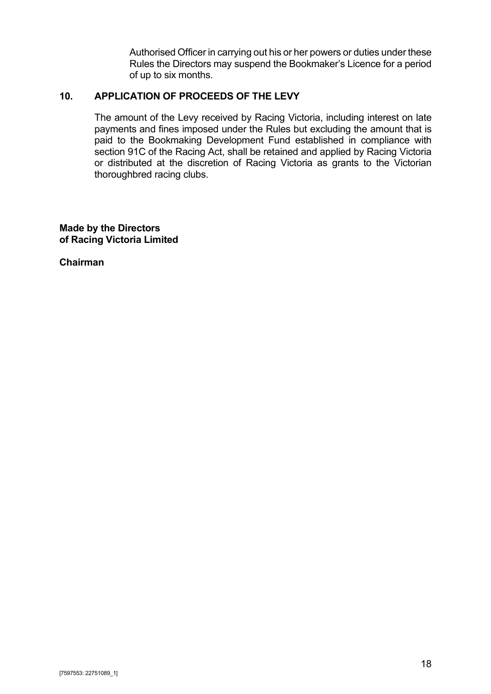Authorised Officer in carrying out his or her powers or duties under these Rules the Directors may suspend the Bookmaker's Licence for a period of up to six months.

## <span id="page-21-0"></span>**10. APPLICATION OF PROCEEDS OF THE LEVY**

The amount of the Levy received by Racing Victoria, including interest on late payments and fines imposed under the Rules but excluding the amount that is paid to the Bookmaking Development Fund established in compliance with section 91C of the Racing Act, shall be retained and applied by Racing Victoria or distributed at the discretion of Racing Victoria as grants to the Victorian thoroughbred racing clubs.

**Made by the Directors of Racing Victoria Limited**

**Chairman**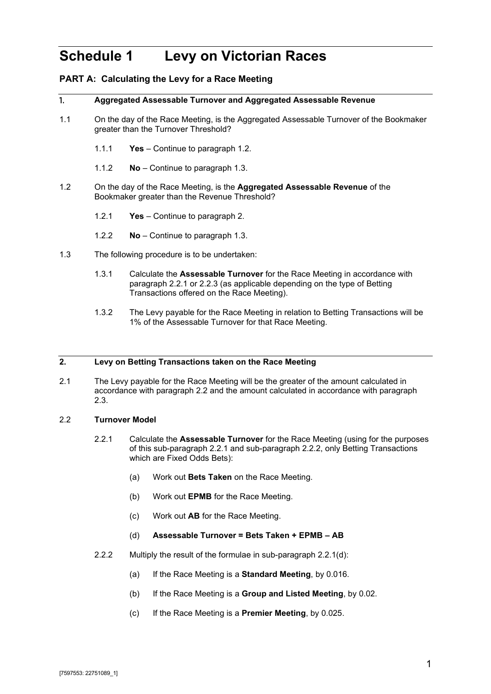## <span id="page-22-0"></span>**Schedule 1 Levy on Victorian Races**

#### **PART A: Calculating the Levy for a Race Meeting**

#### 1. **Aggregated Assessable Turnover and Aggregated Assessable Revenue**

- 1.1 On the day of the Race Meeting, is the Aggregated Assessable Turnover of the Bookmaker greater than the Turnover Threshold?
	- 1.1.1 **Yes**  Continue to paragraph [1.2.](#page-22-1)
	- 1.1.2 **No** Continue to paragraph [1.3.](#page-22-2)
- <span id="page-22-1"></span>1.2 On the day of the Race Meeting, is the **Aggregated Assessable Revenue** of the Bookmaker greater than the Revenue Threshold?
	- 1.2.1 **Yes** Continue to paragraph 2.
	- 1.2.2 **No** Continue to paragraph [1.3.](#page-22-2)
- <span id="page-22-9"></span><span id="page-22-2"></span>1.3 The following procedure is to be undertaken:
	- 1.3.1 Calculate the **Assessable Turnover** for the Race Meeting in accordance with paragraph [2.2.1](#page-22-3) or [2.2.3](#page-23-0) (as applicable depending on the type of Betting Transactions offered on the Race Meeting).
	- 1.3.2 The Levy payable for the Race Meeting in relation to Betting Transactions will be 1% of the Assessable Turnover for that Race Meeting.

#### <span id="page-22-8"></span><span id="page-22-7"></span>**2. Levy on Betting Transactions taken on the Race Meeting**

2.1 The Levy payable for the Race Meeting will be the greater of the amount calculated in accordance with paragraph [2.2](#page-22-4) and the amount calculated in accordance with paragraph [2.3.](#page-23-1)

#### <span id="page-22-4"></span><span id="page-22-3"></span>2.2 **Turnover Model**

- 2.2.1 Calculate the **Assessable Turnover** for the Race Meeting (using for the purposes of this sub-paragraph [2.2.1](#page-22-3) and sub-paragraph [2.2.2,](#page-22-5) only Betting Transactions which are Fixed Odds Bets):
	- (a) Work out **Bets Taken** on the Race Meeting.
	- (b) Work out **EPMB** for the Race Meeting.
	- (c) Work out **AB** for the Race Meeting.

#### (d) **Assessable Turnover = Bets Taken + EPMB – AB**

- <span id="page-22-6"></span><span id="page-22-5"></span>2.2.2 Multiply the result of the formulae in sub-paragraph [2.2.1\(d\):](#page-22-6)
	- (a) If the Race Meeting is a **Standard Meeting**, by 0.016.
	- (b) If the Race Meeting is a **Group and Listed Meeting**, by 0.02.
	- (c) If the Race Meeting is a **Premier Meeting**, by 0.025.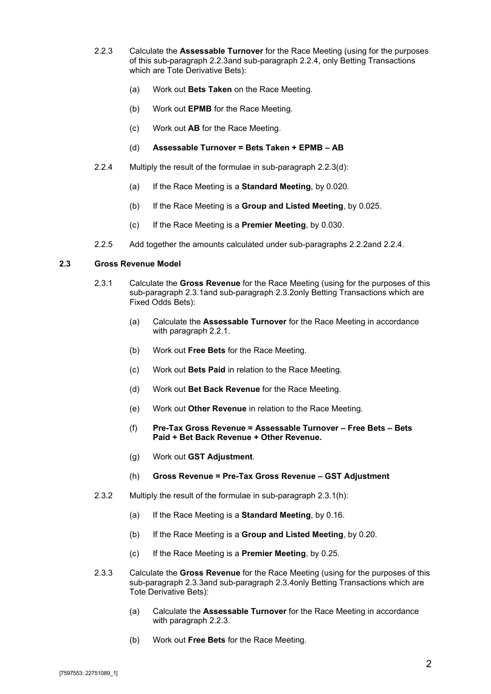- <span id="page-23-0"></span>2.2.3 Calculate the **Assessable Turnover** for the Race Meeting (using for the purposes of this sub-paragraph [2.2.3a](#page-23-0)nd sub-paragraph [2.2.4,](#page-23-2) only Betting Transactions which are Tote Derivative Bets):
	- (a) Work out **Bets Taken** on the Race Meeting.
	- (b) Work out **EPMB** for the Race Meeting.
	- (c) Work out **AB** for the Race Meeting.
	- (d) **Assessable Turnover = Bets Taken + EPMB – AB**
- <span id="page-23-3"></span><span id="page-23-2"></span>2.2.4 Multiply the result of the formulae in sub-paragraph [2.2.3\(d\):](#page-23-3)
	- (a) If the Race Meeting is a **Standard Meeting**, by 0.020.
	- (b) If the Race Meeting is a **Group and Listed Meeting**, by 0.025.
	- (c) If the Race Meeting is a **Premier Meeting**, by 0.030.
- 2.2.5 Add together the amounts calculated under sub-paragraphs [2.2.2a](#page-22-5)nd [2.2.4.](#page-23-2)

#### <span id="page-23-4"></span><span id="page-23-1"></span>**2.3 Gross Revenue Model**

- 2.3.1 Calculate the **Gross Revenue** for the Race Meeting (using for the purposes of this sub-paragraph [2.3.1a](#page-23-4)nd sub-paragraph [2.3.2o](#page-23-5)nly Betting Transactions which are Fixed Odds Bets):
	- (a) Calculate the **Assessable Turnover** for the Race Meeting in accordance with paragraph [2.2.1.](#page-22-3)
	- (b) Work out **Free Bets** for the Race Meeting.
	- (c) Work out **Bets Paid** in relation to the Race Meeting.
	- (d) Work out **Bet Back Revenue** for the Race Meeting.
	- (e) Work out **Other Revenue** in relation to the Race Meeting.
	- (f) **Pre-Tax Gross Revenue = Assessable Turnover – Free Bets – Bets Paid + Bet Back Revenue + Other Revenue.**
	- (g) Work out **GST Adjustment**.
	- (h) **Gross Revenue = Pre-Tax Gross Revenue – GST Adjustment**
- <span id="page-23-8"></span><span id="page-23-6"></span><span id="page-23-5"></span>2.3.2 Multiply the result of the formulae in sub-paragraph [2.3.1\(h\):](#page-23-6)
	- (a) If the Race Meeting is a **Standard Meeting**, by 0.16.
	- (b) If the Race Meeting is a **Group and Listed Meeting**, by 0.20.
	- (c) If the Race Meeting is a **Premier Meeting**, by 0.25.
- <span id="page-23-7"></span>2.3.3 Calculate the **Gross Revenue** for the Race Meeting (using for the purposes of this sub-paragraph [2.3.3a](#page-23-7)nd sub-paragraph [2.3.4o](#page-24-0)nly Betting Transactions which are Tote Derivative Bets):
	- (a) Calculate the **Assessable Turnover** for the Race Meeting in accordance with paragraph [2.2.3.](#page-23-0)
	- (b) Work out **Free Bets** for the Race Meeting.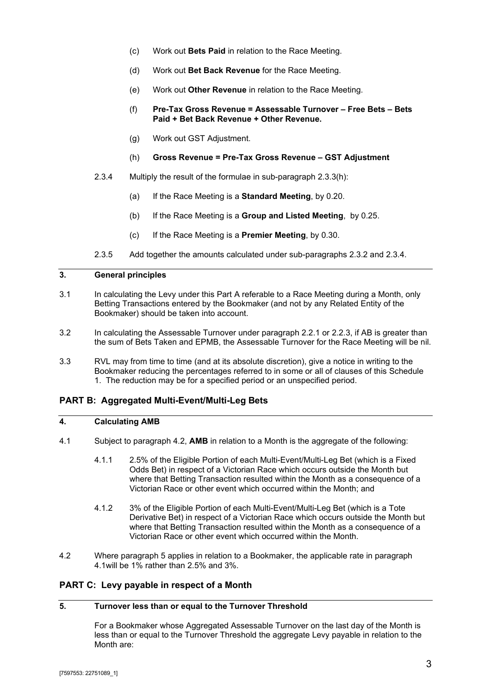- (c) Work out **Bets Paid** in relation to the Race Meeting.
- (d) Work out **Bet Back Revenue** for the Race Meeting.
- (e) Work out **Other Revenue** in relation to the Race Meeting.
- (f) **Pre-Tax Gross Revenue = Assessable Turnover – Free Bets – Bets Paid + Bet Back Revenue + Other Revenue.**
- (g) Work out GST Adjustment.
- (h) **Gross Revenue = Pre-Tax Gross Revenue – GST Adjustment**
- <span id="page-24-1"></span><span id="page-24-0"></span>2.3.4 Multiply the result of the formulae in sub-paragraph [2.3.3\(h\):](#page-24-1)
	- (a) If the Race Meeting is a **Standard Meeting**, by 0.20.
	- (b) If the Race Meeting is a **Group and Listed Meeting**, by 0.25.
	- (c) If the Race Meeting is a **Premier Meeting**, by 0.30.
- 2.3.5 Add together the amounts calculated under sub-paragraphs [2.3.2](#page-23-5) and [2.3.4.](#page-24-0)

#### **3. General principles**

- 3.1 In calculating the Levy under this Part A referable to a Race Meeting during a Month, only Betting Transactions entered by the Bookmaker (and not by any Related Entity of the Bookmaker) should be taken into account.
- 3.2 In calculating the Assessable Turnover under paragraph [2.2.1](#page-22-3) or [2.2.3,](#page-23-0) if AB is greater than the sum of Bets Taken and EPMB, the Assessable Turnover for the Race Meeting will be nil.
- 3.3 RVL may from time to time (and at its absolute discretion), give a notice in writing to the Bookmaker reducing the percentages referred to in some or all of clauses of this [Schedule](#page-22-0)  [1.](#page-22-0) The reduction may be for a specified period or an unspecified period.

#### **PART B: Aggregated Multi-Event/Multi-Leg Bets**

#### <span id="page-24-4"></span>**4. Calculating AMB**

- 4.1 Subject to paragraph [4.2,](#page-24-2) **AMB** in relation to a Month is the aggregate of the following:
	- 4.1.1 2.5% of the Eligible Portion of each Multi-Event/Multi-Leg Bet (which is a Fixed Odds Bet) in respect of a Victorian Race which occurs outside the Month but where that Betting Transaction resulted within the Month as a consequence of a Victorian Race or other event which occurred within the Month; and
	- 4.1.2 3% of the Eligible Portion of each Multi-Event/Multi-Leg Bet (which is a Tote Derivative Bet) in respect of a Victorian Race which occurs outside the Month but where that Betting Transaction resulted within the Month as a consequence of a Victorian Race or other event which occurred within the Month.
- <span id="page-24-2"></span>4.2 Where paragraph [5](#page-24-3) applies in relation to a Bookmaker, the applicable rate in paragraph [4.1w](#page-24-4)ill be 1% rather than 2.5% and 3%.

#### <span id="page-24-3"></span>**PART C: Levy payable in respect of a Month**

#### **5. Turnover less than or equal to the Turnover Threshold**

For a Bookmaker whose Aggregated Assessable Turnover on the last day of the Month is less than or equal to the Turnover Threshold the aggregate Levy payable in relation to the Month are: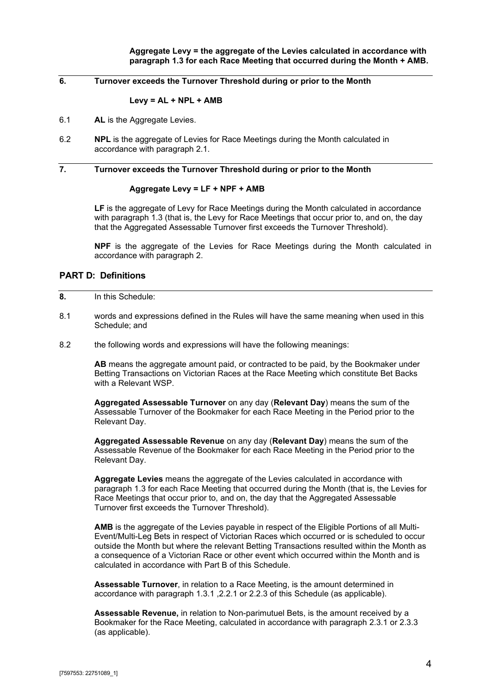#### **6. Turnover exceeds the Turnover Threshold during or prior to the Month**

#### **Levy = AL + NPL + AMB**

- 6.1 **AL** is the Aggregate Levies.
- 6.2 **NPL** is the aggregate of Levies for Race Meetings during the Month calculated in accordance with paragraph [2.1.](#page-22-7)

#### **7. Turnover exceeds the Turnover Threshold during or prior to the Month**

#### **Aggregate Levy = LF + NPF + AMB**

**LF** is the aggregate of Levy for Race Meetings during the Month calculated in accordance with paragraph [1.3](#page-22-2) (that is, the Levy for Race Meetings that occur prior to, and on, the day that the Aggregated Assessable Turnover first exceeds the Turnover Threshold).

**NPF** is the aggregate of the Levies for Race Meetings during the Month calculated in accordance with paragraph [2.](#page-22-8)

#### **PART D: Definitions**

- **8.** In this Schedule:
- 8.1 words and expressions defined in the Rules will have the same meaning when used in this Schedule; and
- 8.2 the following words and expressions will have the following meanings:

**AB** means the aggregate amount paid, or contracted to be paid, by the Bookmaker under Betting Transactions on Victorian Races at the Race Meeting which constitute Bet Backs with a Relevant WSP.

**Aggregated Assessable Turnover** on any day (**Relevant Day**) means the sum of the Assessable Turnover of the Bookmaker for each Race Meeting in the Period prior to the Relevant Day.

**Aggregated Assessable Revenue** on any day (**Relevant Day**) means the sum of the Assessable Revenue of the Bookmaker for each Race Meeting in the Period prior to the Relevant Day.

**Aggregate Levies** means the aggregate of the Levies calculated in accordance with paragraph [1.3](#page-22-2) for each Race Meeting that occurred during the Month (that is, the Levies for Race Meetings that occur prior to, and on, the day that the Aggregated Assessable Turnover first exceeds the Turnover Threshold).

**AMB** is the aggregate of the Levies payable in respect of the Eligible Portions of all Multi-Event/Multi-Leg Bets in respect of Victorian Races which occurred or is scheduled to occur outside the Month but where the relevant Betting Transactions resulted within the Month as a consequence of a Victorian Race or other event which occurred within the Month and is calculated in accordance with Part B of this Schedule.

**Assessable Turnover**, in relation to a Race Meeting, is the amount determined in accordance with paragraph [1.3.1](#page-22-9) [,2.2.1](#page-22-3) or 2.2.3 of this Schedule (as applicable).

**Assessable Revenue,** in relation to Non-parimutuel Bets, is the amount received by a Bookmaker for the Race Meeting, calculated in accordance with paragraph [2.3.1](#page-23-4) or [2.3.3](#page-23-7) (as applicable).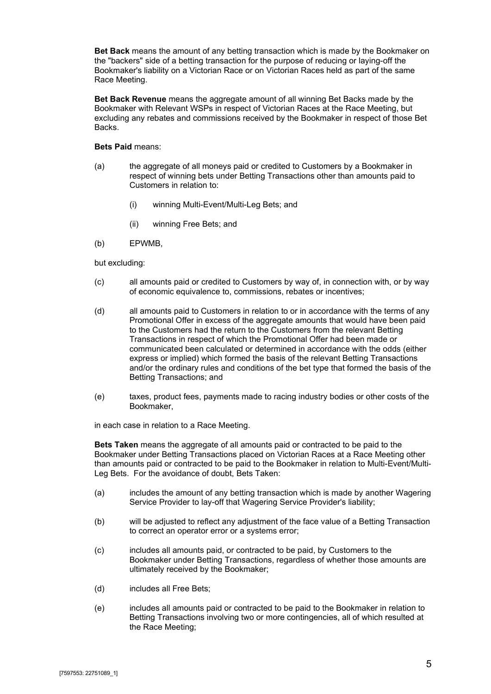**Bet Back** means the amount of any betting transaction which is made by the Bookmaker on the "backers" side of a betting transaction for the purpose of reducing or laying-off the Bookmaker's liability on a Victorian Race or on Victorian Races held as part of the same Race Meeting.

**Bet Back Revenue** means the aggregate amount of all winning Bet Backs made by the Bookmaker with Relevant WSPs in respect of Victorian Races at the Race Meeting, but excluding any rebates and commissions received by the Bookmaker in respect of those Bet Backs.

#### **Bets Paid** means:

- (a) the aggregate of all moneys paid or credited to Customers by a Bookmaker in respect of winning bets under Betting Transactions other than amounts paid to Customers in relation to:
	- (i) winning Multi-Event/Multi-Leg Bets; and
	- (ii) winning Free Bets; and
- (b) EPWMB,

but excluding:

- (c) all amounts paid or credited to Customers by way of, in connection with, or by way of economic equivalence to, commissions, rebates or incentives;
- (d) all amounts paid to Customers in relation to or in accordance with the terms of any Promotional Offer in excess of the aggregate amounts that would have been paid to the Customers had the return to the Customers from the relevant Betting Transactions in respect of which the Promotional Offer had been made or communicated been calculated or determined in accordance with the odds (either express or implied) which formed the basis of the relevant Betting Transactions and/or the ordinary rules and conditions of the bet type that formed the basis of the Betting Transactions; and
- (e) taxes, product fees, payments made to racing industry bodies or other costs of the Bookmaker,

in each case in relation to a Race Meeting.

**Bets Taken** means the aggregate of all amounts paid or contracted to be paid to the Bookmaker under Betting Transactions placed on Victorian Races at a Race Meeting other than amounts paid or contracted to be paid to the Bookmaker in relation to Multi-Event/Multi-Leg Bets. For the avoidance of doubt, Bets Taken:

- (a) includes the amount of any betting transaction which is made by another Wagering Service Provider to lay-off that Wagering Service Provider's liability;
- (b) will be adjusted to reflect any adjustment of the face value of a Betting Transaction to correct an operator error or a systems error;
- (c) includes all amounts paid, or contracted to be paid, by Customers to the Bookmaker under Betting Transactions, regardless of whether those amounts are ultimately received by the Bookmaker;
- (d) includes all Free Bets;
- (e) includes all amounts paid or contracted to be paid to the Bookmaker in relation to Betting Transactions involving two or more contingencies, all of which resulted at the Race Meeting;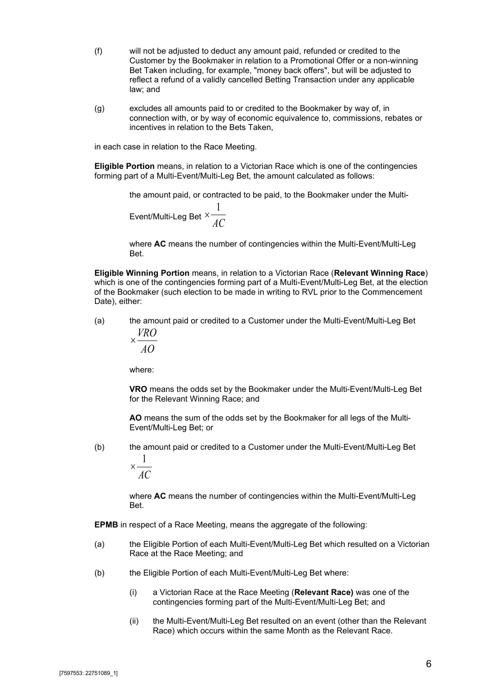- (f) will not be adjusted to deduct any amount paid, refunded or credited to the Customer by the Bookmaker in relation to a Promotional Offer or a non-winning Bet Taken including, for example, "money back offers", but will be adjusted to reflect a refund of a validly cancelled Betting Transaction under any applicable law; and
- (g) excludes all amounts paid to or credited to the Bookmaker by way of, in connection with, or by way of economic equivalence to, commissions, rebates or incentives in relation to the Bets Taken,

in each case in relation to the Race Meeting.

**Eligible Portion** means, in relation to a Victorian Race which is one of the contingencies forming part of a Multi-Event/Multi-Leg Bet, the amount calculated as follows:

> the amount paid, or contracted to be paid, to the Bookmaker under the Multi-Event/Multi-Leg Bet  $\times \frac{1}{AC}$ 1 ×

where **AC** means the number of contingencies within the Multi-Event/Multi-Leg Bet.

**Eligible Winning Portion** means, in relation to a Victorian Race (**Relevant Winning Race**) which is one of the contingencies forming part of a Multi-Event/Multi-Leg Bet, at the election of the Bookmaker (such election to be made in writing to RVL prior to the Commencement Date), either:

(a) the amount paid or credited to a Customer under the Multi-Event/Multi-Leg Bet *VRO*

$$
\times \frac{10}{40}
$$

where:

**VRO** means the odds set by the Bookmaker under the Multi-Event/Multi-Leg Bet for the Relevant Winning Race; and

**AO** means the sum of the odds set by the Bookmaker for all legs of the Multi-Event/Multi-Leg Bet; or

(b) the amount paid or credited to a Customer under the Multi-Event/Multi-Leg Bet

*AC* 1 ×

where **AC** means the number of contingencies within the Multi-Event/Multi-Leg Bet.

**EPMB** in respect of a Race Meeting, means the aggregate of the following:

- (a) the Eligible Portion of each Multi-Event/Multi-Leg Bet which resulted on a Victorian Race at the Race Meeting; and
- (b) the Eligible Portion of each Multi-Event/Multi-Leg Bet where:
	- (i) a Victorian Race at the Race Meeting (**Relevant Race)** was one of the contingencies forming part of the Multi-Event/Multi-Leg Bet; and
	- (ii) the Multi-Event/Multi-Leg Bet resulted on an event (other than the Relevant Race) which occurs within the same Month as the Relevant Race.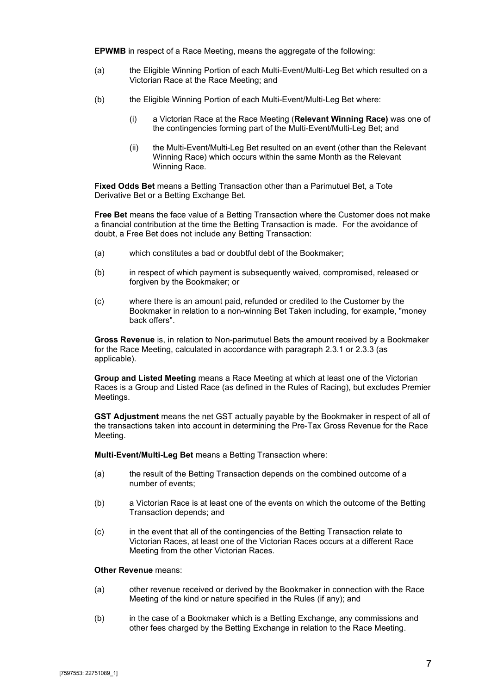**EPWMB** in respect of a Race Meeting, means the aggregate of the following:

- (a) the Eligible Winning Portion of each Multi-Event/Multi-Leg Bet which resulted on a Victorian Race at the Race Meeting; and
- (b) the Eligible Winning Portion of each Multi-Event/Multi-Leg Bet where:
	- (i) a Victorian Race at the Race Meeting (**Relevant Winning Race)** was one of the contingencies forming part of the Multi-Event/Multi-Leg Bet; and
	- (ii) the Multi-Event/Multi-Leg Bet resulted on an event (other than the Relevant Winning Race) which occurs within the same Month as the Relevant Winning Race.

**Fixed Odds Bet** means a Betting Transaction other than a Parimutuel Bet, a Tote Derivative Bet or a Betting Exchange Bet.

**Free Bet** means the face value of a Betting Transaction where the Customer does not make a financial contribution at the time the Betting Transaction is made. For the avoidance of doubt, a Free Bet does not include any Betting Transaction:

- (a) which constitutes a bad or doubtful debt of the Bookmaker;
- (b) in respect of which payment is subsequently waived, compromised, released or forgiven by the Bookmaker; or
- (c) where there is an amount paid, refunded or credited to the Customer by the Bookmaker in relation to a non-winning Bet Taken including, for example, "money back offers".

**Gross Revenue** is, in relation to Non-parimutuel Bets the amount received by a Bookmaker for the Race Meeting, calculated in accordance with paragraph [2.3.1](#page-23-4) or [2.3.3](#page-23-7) (as applicable).

**Group and Listed Meeting** means a Race Meeting at which at least one of the Victorian Races is a Group and Listed Race (as defined in the Rules of Racing), but excludes Premier Meetings.

**GST Adjustment** means the net GST actually payable by the Bookmaker in respect of all of the transactions taken into account in determining the Pre-Tax Gross Revenue for the Race Meeting.

**Multi-Event/Multi-Leg Bet** means a Betting Transaction where:

- (a) the result of the Betting Transaction depends on the combined outcome of a number of events;
- (b) a Victorian Race is at least one of the events on which the outcome of the Betting Transaction depends; and
- (c) in the event that all of the contingencies of the Betting Transaction relate to Victorian Races, at least one of the Victorian Races occurs at a different Race Meeting from the other Victorian Races.

#### **Other Revenue** means:

- (a) other revenue received or derived by the Bookmaker in connection with the Race Meeting of the kind or nature specified in the Rules (if any); and
- (b) in the case of a Bookmaker which is a Betting Exchange, any commissions and other fees charged by the Betting Exchange in relation to the Race Meeting.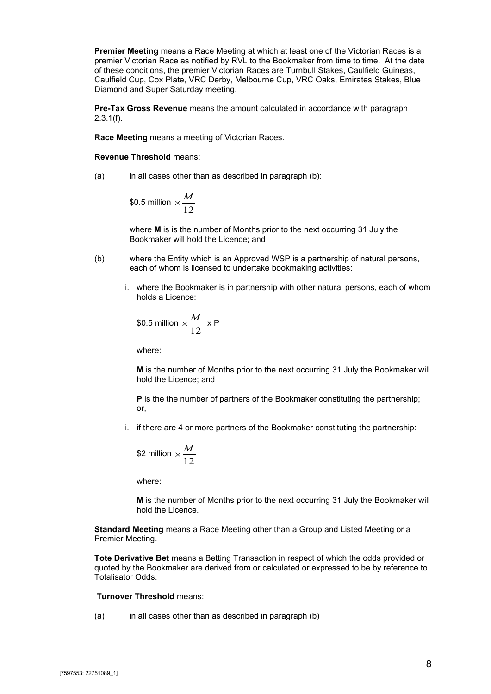**Premier Meeting** means a Race Meeting at which at least one of the Victorian Races is a premier Victorian Race as notified by RVL to the Bookmaker from time to time. At the date of these conditions, the premier Victorian Races are Turnbull Stakes, Caulfield Guineas, Caulfield Cup, Cox Plate, VRC Derby, Melbourne Cup, VRC Oaks, Emirates Stakes, Blue Diamond and Super Saturday meeting.

**Pre-Tax Gross Revenue** means the amount calculated in accordance with paragraph  $2.3.1(f)$ .

**Race Meeting** means a meeting of Victorian Races.

**Revenue Threshold** means:

(a) in all cases other than as described in paragraph (b):

\$0.5 million 
$$
\times \frac{M}{12}
$$

where **M** is is the number of Months prior to the next occurring 31 July the Bookmaker will hold the Licence; and

- (b) where the Entity which is an Approved WSP is a partnership of natural persons, each of whom is licensed to undertake bookmaking activities:
	- i. where the Bookmaker is in partnership with other natural persons, each of whom holds a Licence:

\$0.5 million 
$$
\times \frac{M}{12}
$$
 x P

where:

**M** is the number of Months prior to the next occurring 31 July the Bookmaker will hold the Licence; and

**P** is the the number of partners of the Bookmaker constituting the partnership; or,

ii. if there are 4 or more partners of the Bookmaker constituting the partnership:

\$2 million 
$$
\times \frac{M}{12}
$$

where:

**M** is the number of Months prior to the next occurring 31 July the Bookmaker will hold the Licence.

**Standard Meeting** means a Race Meeting other than a Group and Listed Meeting or a Premier Meeting.

**Tote Derivative Bet** means a Betting Transaction in respect of which the odds provided or quoted by the Bookmaker are derived from or calculated or expressed to be by reference to Totalisator Odds.

#### **Turnover Threshold** means:

(a) in all cases other than as described in paragraph [\(b\)](#page-30-0)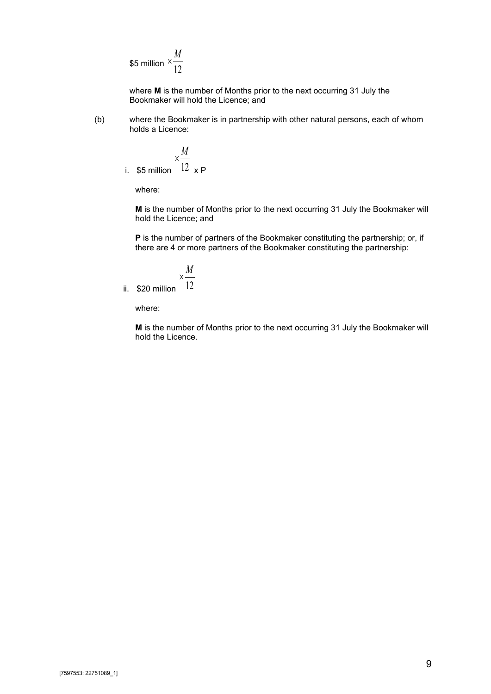\$5 million 
$$
\times \frac{M}{12}
$$

where **M** is the number of Months prior to the next occurring 31 July the Bookmaker will hold the Licence; and

<span id="page-30-0"></span>(b) where the Bookmaker is in partnership with other natural persons, each of whom holds a Licence:

i. \$5 million 
$$
\times \frac{M}{12} \times P
$$

where:

**M** is the number of Months prior to the next occurring 31 July the Bookmaker will hold the Licence; and

**P** is the number of partners of the Bookmaker constituting the partnership; or, if there are 4 or more partners of the Bookmaker constituting the partnership:

$$
\times \frac{M}{12}
$$

ii. \$20 million

where:

**M** is the number of Months prior to the next occurring 31 July the Bookmaker will hold the Licence.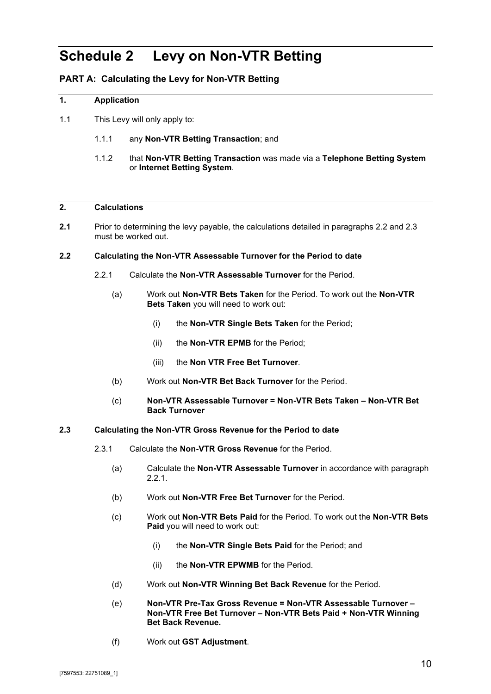## **Schedule 2 Levy on Non-VTR Betting**

#### **PART A: Calculating the Levy for Non-VTR Betting**

#### **1. Application**

- 1.1 This Levy will only apply to:
	- 1.1.1 any **Non-VTR Betting Transaction**; and
	- 1.1.2 that **Non-VTR Betting Transaction** was made via a **Telephone Betting System** or **Internet Betting System**.

#### <span id="page-31-3"></span>**2. Calculations**

**2.1** Prior to determining the levy payable, the calculations detailed in paragraphs [2.2](#page-31-0) and [2.3](#page-31-1) must be worked out.

#### <span id="page-31-2"></span><span id="page-31-0"></span>**2.2 Calculating the Non-VTR Assessable Turnover for the Period to date**

- 2.2.1 Calculate the **Non-VTR Assessable Turnover** for the Period.
	- (a) Work out **Non-VTR Bets Taken** for the Period. To work out the **Non-VTR Bets Taken** you will need to work out:
		- (i) the **Non-VTR Single Bets Taken** for the Period;
		- (ii) the **Non-VTR EPMB** for the Period;
		- (iii) the **Non VTR Free Bet Turnover**.
	- (b) Work out **Non-VTR Bet Back Turnover** for the Period.
	- (c) **Non-VTR Assessable Turnover = Non-VTR Bets Taken – Non-VTR Bet Back Turnover**

#### <span id="page-31-1"></span>**2.3 Calculating the Non-VTR Gross Revenue for the Period to date**

- <span id="page-31-4"></span>2.3.1 Calculate the **Non-VTR Gross Revenue** for the Period.
	- (a) Calculate the **Non-VTR Assessable Turnover** in accordance with paragraph [2.2.1.](#page-31-2)
	- (b) Work out **Non-VTR Free Bet Turnover** for the Period.
	- (c) Work out **Non-VTR Bets Paid** for the Period. To work out the **Non-VTR Bets Paid** you will need to work out:
		- (i) the **Non-VTR Single Bets Paid** for the Period; and
		- (ii) the **Non-VTR EPWMB** for the Period.
	- (d) Work out **Non-VTR Winning Bet Back Revenue** for the Period.
	- (e) **Non-VTR Pre-Tax Gross Revenue = Non-VTR Assessable Turnover – Non-VTR Free Bet Turnover – Non-VTR Bets Paid + Non-VTR Winning Bet Back Revenue.**
	- (f) Work out **GST Adjustment**.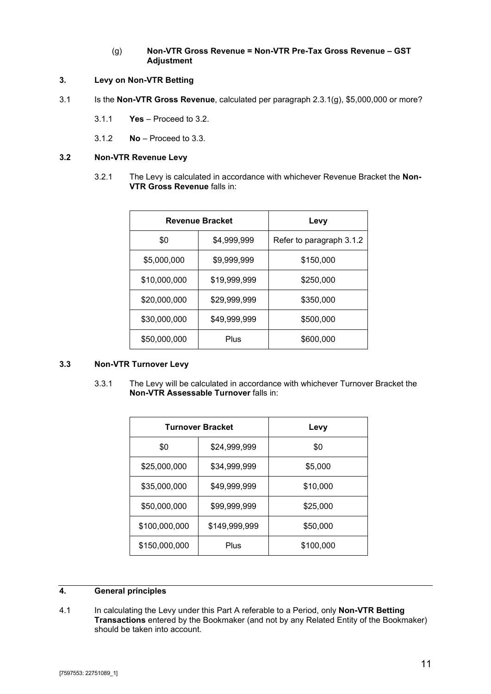#### (g) **Non-VTR Gross Revenue = Non-VTR Pre-Tax Gross Revenue – GST Adjustment**

#### <span id="page-32-4"></span><span id="page-32-0"></span>**3. Levy on Non-VTR Betting**

- <span id="page-32-3"></span>3.1 Is the **Non-VTR Gross Revenue**, calculated per paragraph [2.3.1\(g\),](#page-32-0) \$5,000,000 or more?
	- 3.1.1 **Yes**  Proceed to [3.2.](#page-32-1)
	- 3.1.2 **No** Proceed to [3.3.](#page-32-2)

#### <span id="page-32-6"></span><span id="page-32-1"></span>**3.2 Non-VTR Revenue Levy**

3.2.1 The Levy is calculated in accordance with whichever Revenue Bracket the **Non-VTR Gross Revenue falls in:** 

|              | <b>Revenue Bracket</b> | Levy                     |
|--------------|------------------------|--------------------------|
| \$0          | \$4,999,999            | Refer to paragraph 3.1.2 |
| \$5,000,000  | \$9,999,999            | \$150,000                |
| \$10,000,000 | \$19,999,999           | \$250,000                |
| \$20,000,000 | \$29,999,999           | \$350,000                |
| \$30,000,000 | \$49,999,999           | \$500,000                |
| \$50,000,000 | Plus                   | \$600,000                |

#### <span id="page-32-5"></span><span id="page-32-2"></span>**3.3 Non-VTR Turnover Levy**

3.3.1 The Levy will be calculated in accordance with whichever Turnover Bracket the **Non-VTR Assessable Turnover** falls in:

|               | <b>Turnover Bracket</b> | Levy      |
|---------------|-------------------------|-----------|
| \$0           | \$24,999,999            | \$0       |
| \$25,000,000  | \$34,999,999            | \$5,000   |
| \$35,000,000  | \$49,999,999            | \$10,000  |
| \$50,000,000  | \$99,999,999            | \$25,000  |
| \$100,000,000 | \$149,999,999           | \$50,000  |
| \$150,000,000 | Plus                    | \$100,000 |

#### **4. General principles**

4.1 In calculating the Levy under this Part A referable to a Period, only **Non-VTR Betting Transactions** entered by the Bookmaker (and not by any Related Entity of the Bookmaker) should be taken into account.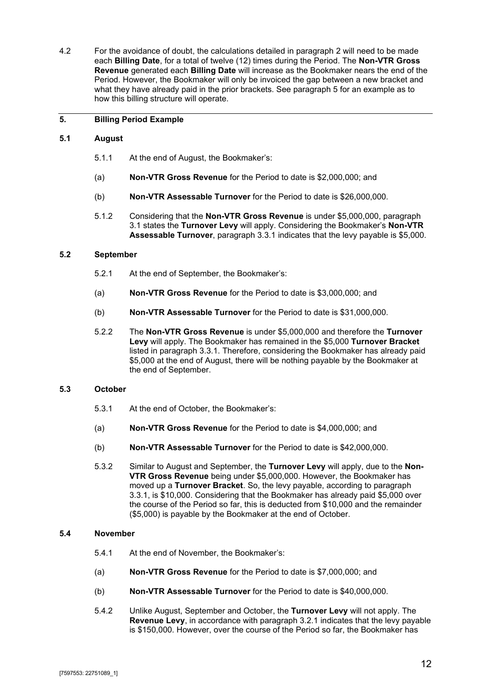4.2 For the avoidance of doubt, the calculations detailed in paragraph 2 will need to be made each **Billing Date**, for a total of twelve (12) times during the Perio[d.](#page-31-3) The **Non-VTR Gross Revenue** generated each **Billing Date** will increase as the Bookmaker nears the end of the Period. However, the Bookmaker will only be invoiced the gap between a new bracket and what they have already paid in the prior brackets. See paragraph [5](#page-33-0) for an example as to how this billing structure will operate.

#### <span id="page-33-0"></span>**5. Billing Period Example**

#### **5.1 August**

- 5.1.1 At the end of August, the Bookmaker's:
- (a) **Non-VTR Gross Revenue** for the Period to date is \$2,000,000; and
- (b) **Non-VTR Assessable Turnover** for the Period to date is \$26,000,000.
- 5.1.2 Considering that the **Non-VTR Gross Revenue** is under \$5,000,000, paragraph [3.1](#page-32-4) states the **Turnover Levy** will apply. Considering the Bookmaker's **Non-VTR Assessable Turnover**, paragraph [3.3.1](#page-32-5) indicates that the levy payable is \$5,000.

#### **5.2 September**

- 5.2.1 At the end of September, the Bookmaker's:
- (a) **Non-VTR Gross Revenue** for the Period to date is \$3,000,000; and
- (b) **Non-VTR Assessable Turnover** for the Period to date is \$31,000,000.
- 5.2.2 The **Non-VTR Gross Revenue** is under \$5,000,000 and therefore the **Turnover Levy** will apply. The Bookmaker has remained in the \$5,000 **Turnover Bracket** listed in paragraph [3.3.1.](#page-32-5) Therefore, considering the Bookmaker has already paid \$5,000 at the end of August, there will be nothing payable by the Bookmaker at the end of September.

#### **5.3 October**

- 5.3.1 At the end of October, the Bookmaker's:
- (a) **Non-VTR Gross Revenue** for the Period to date is \$4,000,000; and
- (b) **Non-VTR Assessable Turnover** for the Period to date is \$42,000,000.
- 5.3.2 Similar to August and September, the **Turnover Levy** will apply, due to the **Non-VTR Gross Revenue** being under \$5,000,000. However, the Bookmaker has moved up a **Turnover Bracket**. So, the levy payable, according to paragraph [3.3.1,](#page-32-5) is \$10,000. Considering that the Bookmaker has already paid \$5,000 over the course of the Period so far, this is deducted from \$10,000 and the remainder (\$5,000) is payable by the Bookmaker at the end of October.

#### **5.4 November**

- 5.4.1 At the end of November, the Bookmaker's:
- (a) **Non-VTR Gross Revenue** for the Period to date is \$7,000,000; and
- (b) **Non-VTR Assessable Turnover** for the Period to date is \$40,000,000.
- 5.4.2 Unlike August, September and October, the **Turnover Levy** will not apply. The **Revenue Levy**, in accordance with paragraph [3.2.1](#page-32-6) indicates that the levy payable is \$150,000. However, over the course of the Period so far, the Bookmaker has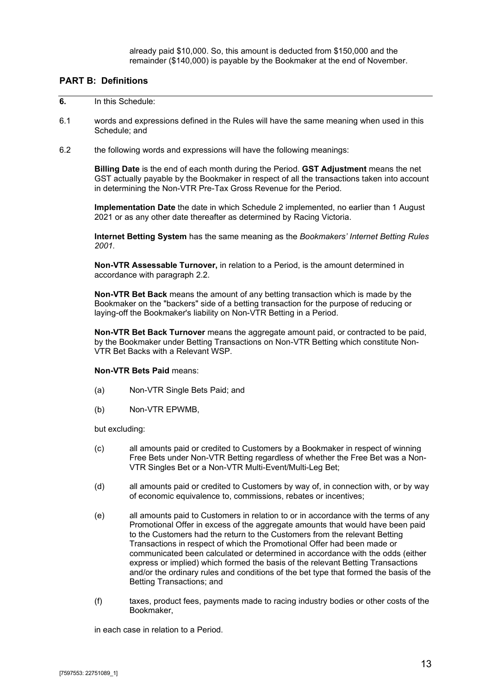already paid \$10,000. So, this amount is deducted from \$150,000 and the remainder (\$140,000) is payable by the Bookmaker at the end of November.

#### **PART B: Definitions**

#### **6.** In this Schedule:

- 6.1 words and expressions defined in the Rules will have the same meaning when used in this Schedule; and
- 6.2 the following words and expressions will have the following meanings:

**Billing Date** is the end of each month during the Period. **GST Adjustment** means the net GST actually payable by the Bookmaker in respect of all the transactions taken into account in determining the Non-VTR Pre-Tax Gross Revenue for the Period.

**Implementation Date** the date in which Schedule 2 implemented, no earlier than 1 August 2021 or as any other date thereafter as determined by Racing Victoria.

**Internet Betting System** has the same meaning as the *Bookmakers' Internet Betting Rules 2001.*

**Non-VTR Assessable Turnover,** in relation to a Period, is the amount determined in accordance with paragraph [2.2.](#page-31-0)

**Non-VTR Bet Back** means the amount of any betting transaction which is made by the Bookmaker on the "backers" side of a betting transaction for the purpose of reducing or laying-off the Bookmaker's liability on Non-VTR Betting in a Period.

**Non-VTR Bet Back Turnover** means the aggregate amount paid, or contracted to be paid, by the Bookmaker under Betting Transactions on Non-VTR Betting which constitute Non-VTR Bet Backs with a Relevant WSP.

#### **Non-VTR Bets Paid** means:

- (a) Non-VTR Single Bets Paid; and
- (b) Non-VTR EPWMB,

but excluding:

- (c) all amounts paid or credited to Customers by a Bookmaker in respect of winning Free Bets under Non-VTR Betting regardless of whether the Free Bet was a Non-VTR Singles Bet or a Non-VTR Multi-Event/Multi-Leg Bet;
- (d) all amounts paid or credited to Customers by way of, in connection with, or by way of economic equivalence to, commissions, rebates or incentives;
- (e) all amounts paid to Customers in relation to or in accordance with the terms of any Promotional Offer in excess of the aggregate amounts that would have been paid to the Customers had the return to the Customers from the relevant Betting Transactions in respect of which the Promotional Offer had been made or communicated been calculated or determined in accordance with the odds (either express or implied) which formed the basis of the relevant Betting Transactions and/or the ordinary rules and conditions of the bet type that formed the basis of the Betting Transactions; and
- (f) taxes, product fees, payments made to racing industry bodies or other costs of the Bookmaker,

in each case in relation to a Period.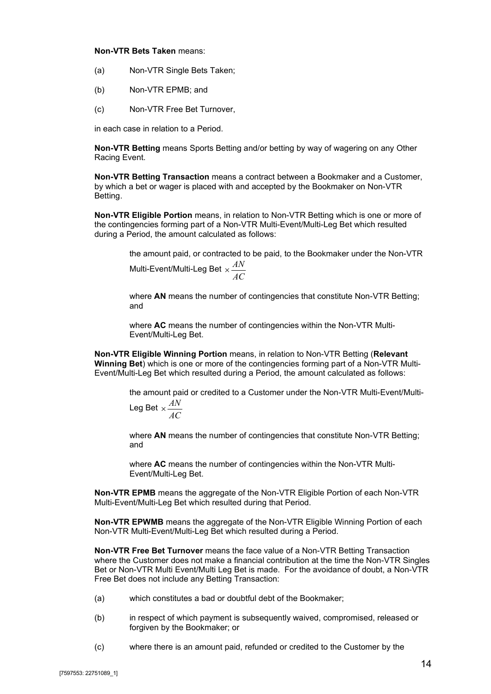#### **Non-VTR Bets Taken** means:

- (a) Non-VTR Single Bets Taken;
- (b) Non-VTR EPMB; and
- (c) Non-VTR Free Bet Turnover,

in each case in relation to a Period.

**Non-VTR Betting** means Sports Betting and/or betting by way of wagering on any Other Racing Event.

**Non-VTR Betting Transaction** means a contract between a Bookmaker and a Customer, by which a bet or wager is placed with and accepted by the Bookmaker on Non-VTR Betting.

**Non-VTR Eligible Portion** means, in relation to Non-VTR Betting which is one or more of the contingencies forming part of a Non-VTR Multi-Event/Multi-Leg Bet which resulted during a Period, the amount calculated as follows:

*AC*

the amount paid, or contracted to be paid, to the Bookmaker under the Non-VTR Multi-Event/Multi-Leg Bet  $\times \frac{AN}{10}$ 

where **AN** means the number of contingencies that constitute Non-VTR Betting: and

where **AC** means the number of contingencies within the Non-VTR Multi-Event/Multi-Leg Bet.

**Non-VTR Eligible Winning Portion** means, in relation to Non-VTR Betting (**Relevant Winning Bet**) which is one or more of the contingencies forming part of a Non-VTR Multi-Event/Multi-Leg Bet which resulted during a Period, the amount calculated as follows:

> the amount paid or credited to a Customer under the Non-VTR Multi-Event/Multi-Leg Bet  $\times \frac{AN}{A}$

$$
\frac{1}{AC}
$$

where **AN** means the number of contingencies that constitute Non-VTR Betting; and

where **AC** means the number of contingencies within the Non-VTR Multi-Event/Multi-Leg Bet.

**Non-VTR EPMB** means the aggregate of the Non-VTR Eligible Portion of each Non-VTR Multi-Event/Multi-Leg Bet which resulted during that Period.

**Non-VTR EPWMB** means the aggregate of the Non-VTR Eligible Winning Portion of each Non-VTR Multi-Event/Multi-Leg Bet which resulted during a Period.

**Non-VTR Free Bet Turnover** means the face value of a Non-VTR Betting Transaction where the Customer does not make a financial contribution at the time the Non-VTR Singles Bet or Non-VTR Multi Event/Multi Leg Bet is made. For the avoidance of doubt, a Non-VTR Free Bet does not include any Betting Transaction:

- (a) which constitutes a bad or doubtful debt of the Bookmaker;
- (b) in respect of which payment is subsequently waived, compromised, released or forgiven by the Bookmaker; or
- (c) where there is an amount paid, refunded or credited to the Customer by the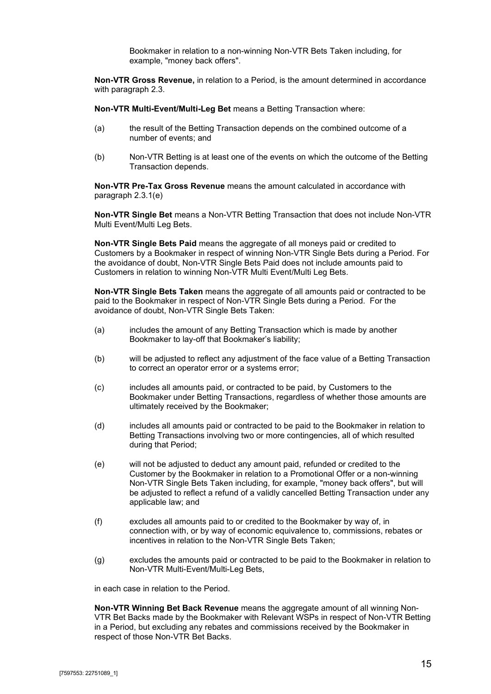Bookmaker in relation to a non-winning Non-VTR Bets Taken including, for example, "money back offers".

**Non-VTR Gross Revenue,** in relation to a Period, is the amount determined in accordance with paragraph [2.3.](#page-31-1)

**Non-VTR Multi-Event/Multi-Leg Bet** means a Betting Transaction where:

- (a) the result of the Betting Transaction depends on the combined outcome of a number of events; and
- (b) Non-VTR Betting is at least one of the events on which the outcome of the Betting Transaction depends.

**Non-VTR Pre-Tax Gross Revenue** means the amount calculated in accordance with paragraph [2.3.1\(e\)](#page-31-4)

**Non-VTR Single Bet** means a Non-VTR Betting Transaction that does not include Non-VTR Multi Event/Multi Leg Bets.

**Non-VTR Single Bets Paid** means the aggregate of all moneys paid or credited to Customers by a Bookmaker in respect of winning Non-VTR Single Bets during a Period. For the avoidance of doubt, Non-VTR Single Bets Paid does not include amounts paid to Customers in relation to winning Non-VTR Multi Event/Multi Leg Bets.

**Non-VTR Single Bets Taken** means the aggregate of all amounts paid or contracted to be paid to the Bookmaker in respect of Non-VTR Single Bets during a Period. For the avoidance of doubt, Non-VTR Single Bets Taken:

- (a) includes the amount of any Betting Transaction which is made by another Bookmaker to lay-off that Bookmaker's liability;
- (b) will be adjusted to reflect any adjustment of the face value of a Betting Transaction to correct an operator error or a systems error;
- (c) includes all amounts paid, or contracted to be paid, by Customers to the Bookmaker under Betting Transactions, regardless of whether those amounts are ultimately received by the Bookmaker;
- (d) includes all amounts paid or contracted to be paid to the Bookmaker in relation to Betting Transactions involving two or more contingencies, all of which resulted during that Period;
- (e) will not be adjusted to deduct any amount paid, refunded or credited to the Customer by the Bookmaker in relation to a Promotional Offer or a non-winning Non-VTR Single Bets Taken including, for example, "money back offers", but will be adjusted to reflect a refund of a validly cancelled Betting Transaction under any applicable law; and
- (f) excludes all amounts paid to or credited to the Bookmaker by way of, in connection with, or by way of economic equivalence to, commissions, rebates or incentives in relation to the Non-VTR Single Bets Taken;
- (g) excludes the amounts paid or contracted to be paid to the Bookmaker in relation to Non-VTR Multi-Event/Multi-Leg Bets,

in each case in relation to the Period.

**Non-VTR Winning Bet Back Revenue** means the aggregate amount of all winning Non-VTR Bet Backs made by the Bookmaker with Relevant WSPs in respect of Non-VTR Betting in a Period, but excluding any rebates and commissions received by the Bookmaker in respect of those Non-VTR Bet Backs.